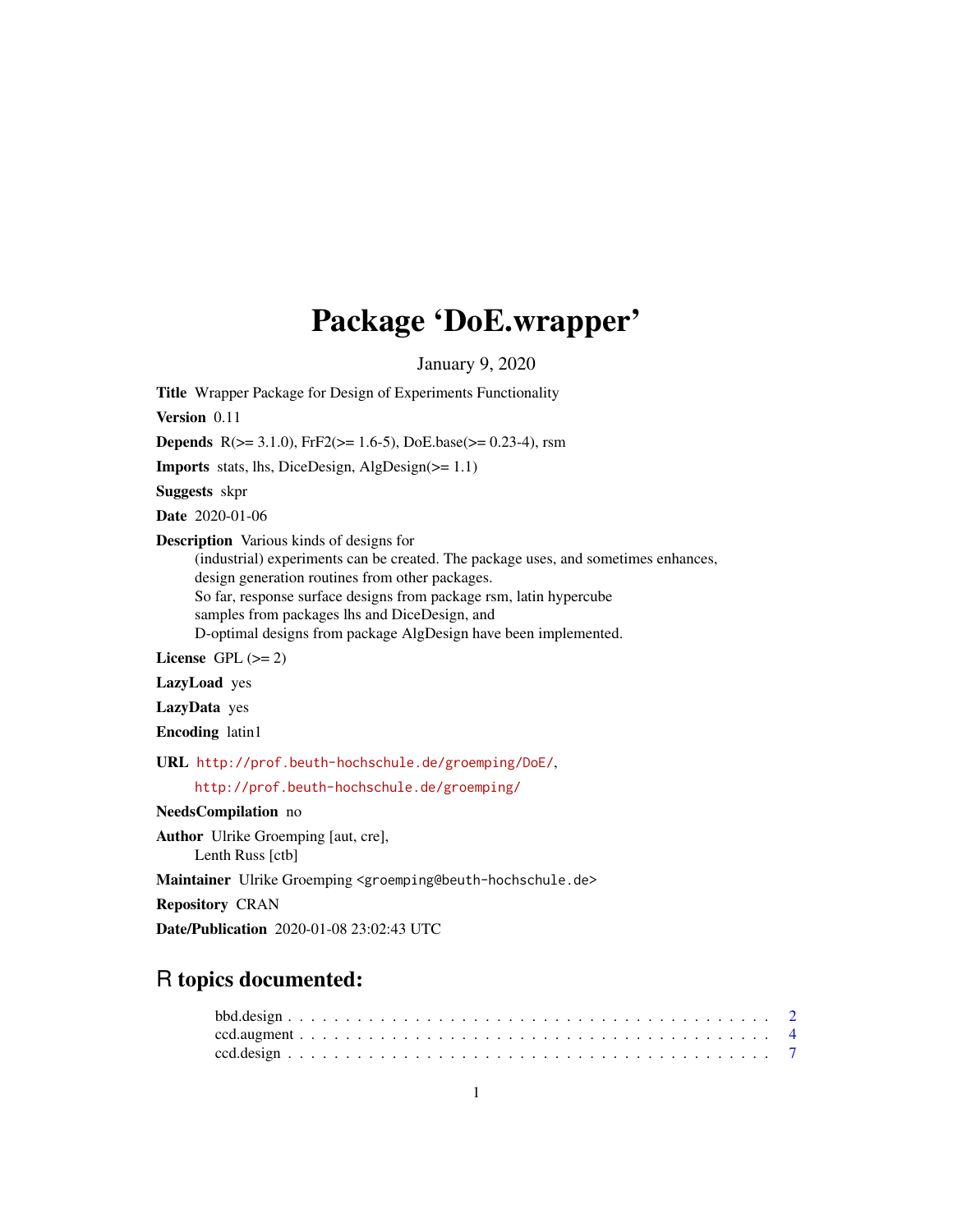# Package 'DoE.wrapper'

January 9, 2020

<span id="page-0-0"></span>Title Wrapper Package for Design of Experiments Functionality Version 0.11 **Depends** R( $>= 3.1.0$ ), FrF2( $>= 1.6-5$ ), DoE.base( $>= 0.23-4$ ), rsm Imports stats, lhs, DiceDesign, AlgDesign(>= 1.1) Suggests skpr Date 2020-01-06 Description Various kinds of designs for (industrial) experiments can be created. The package uses, and sometimes enhances, design generation routines from other packages. So far, response surface designs from package rsm, latin hypercube samples from packages lhs and DiceDesign, and D-optimal designs from package AlgDesign have been implemented. License GPL  $(>= 2)$ LazyLoad yes LazyData yes Encoding latin1 URL <http://prof.beuth-hochschule.de/groemping/DoE/>, <http://prof.beuth-hochschule.de/groemping/> NeedsCompilation no Author Ulrike Groemping [aut, cre], Lenth Russ [ctb] Maintainer Ulrike Groemping <groemping@beuth-hochschule.de> Repository CRAN Date/Publication 2020-01-08 23:02:43 UTC

# R topics documented: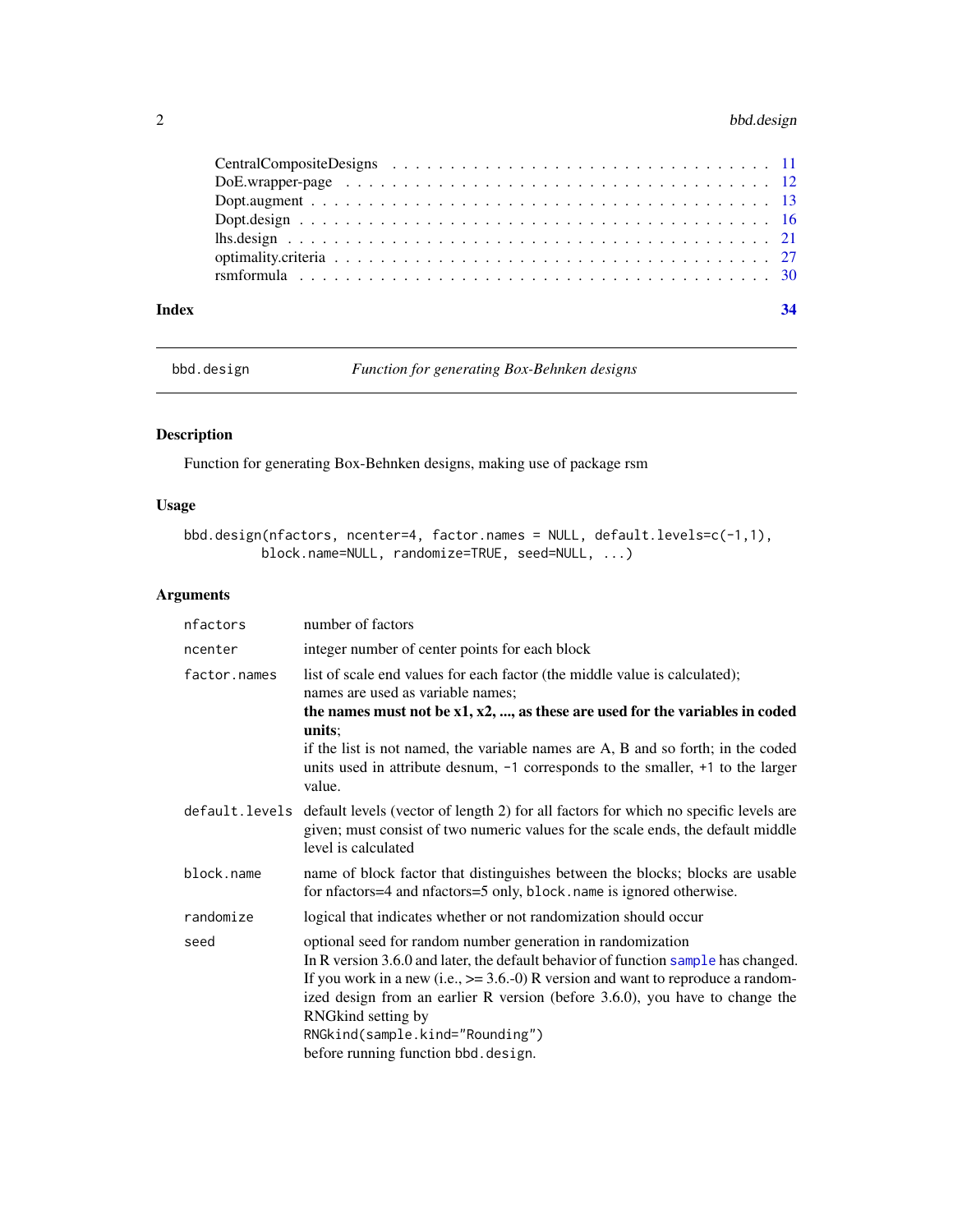# <span id="page-1-0"></span>2 bbd.design

| Index | 34 |
|-------|----|

<span id="page-1-1"></span>bbd.design *Function for generating Box-Behnken designs*

# Description

Function for generating Box-Behnken designs, making use of package rsm

# Usage

```
bbd.design(nfactors, ncenter=4, factor.names = NULL, default.levels=c(-1,1),
         block.name=NULL, randomize=TRUE, seed=NULL, ...)
```
# Arguments

| nfactors     | number of factors                                                                                                                                                                                                                                                                                                                                                                                                          |
|--------------|----------------------------------------------------------------------------------------------------------------------------------------------------------------------------------------------------------------------------------------------------------------------------------------------------------------------------------------------------------------------------------------------------------------------------|
| ncenter      | integer number of center points for each block                                                                                                                                                                                                                                                                                                                                                                             |
| factor.names | list of scale end values for each factor (the middle value is calculated);<br>names are used as variable names;<br>the names must not be $x1, x2, \ldots$ , as these are used for the variables in coded<br>units:<br>if the list is not named, the variable names are A, B and so forth; in the coded<br>units used in attribute desnum, $-1$ corresponds to the smaller, $+1$ to the larger<br>value.                    |
|              | default. levels default levels (vector of length 2) for all factors for which no specific levels are<br>given; must consist of two numeric values for the scale ends, the default middle<br>level is calculated                                                                                                                                                                                                            |
| block.name   | name of block factor that distinguishes between the blocks; blocks are usable<br>for nfactors=4 and nfactors=5 only, block.name is ignored otherwise.                                                                                                                                                                                                                                                                      |
| randomize    | logical that indicates whether or not randomization should occur                                                                                                                                                                                                                                                                                                                                                           |
| seed         | optional seed for random number generation in randomization<br>In R version 3.6.0 and later, the default behavior of function sample has changed.<br>If you work in a new (i.e., $\ge$ = 3.6.-0) R version and want to reproduce a random-<br>ized design from an earlier R version (before 3.6.0), you have to change the<br>RNGkind setting by<br>RNGkind(sample.kind="Rounding")<br>before running function bbd.design. |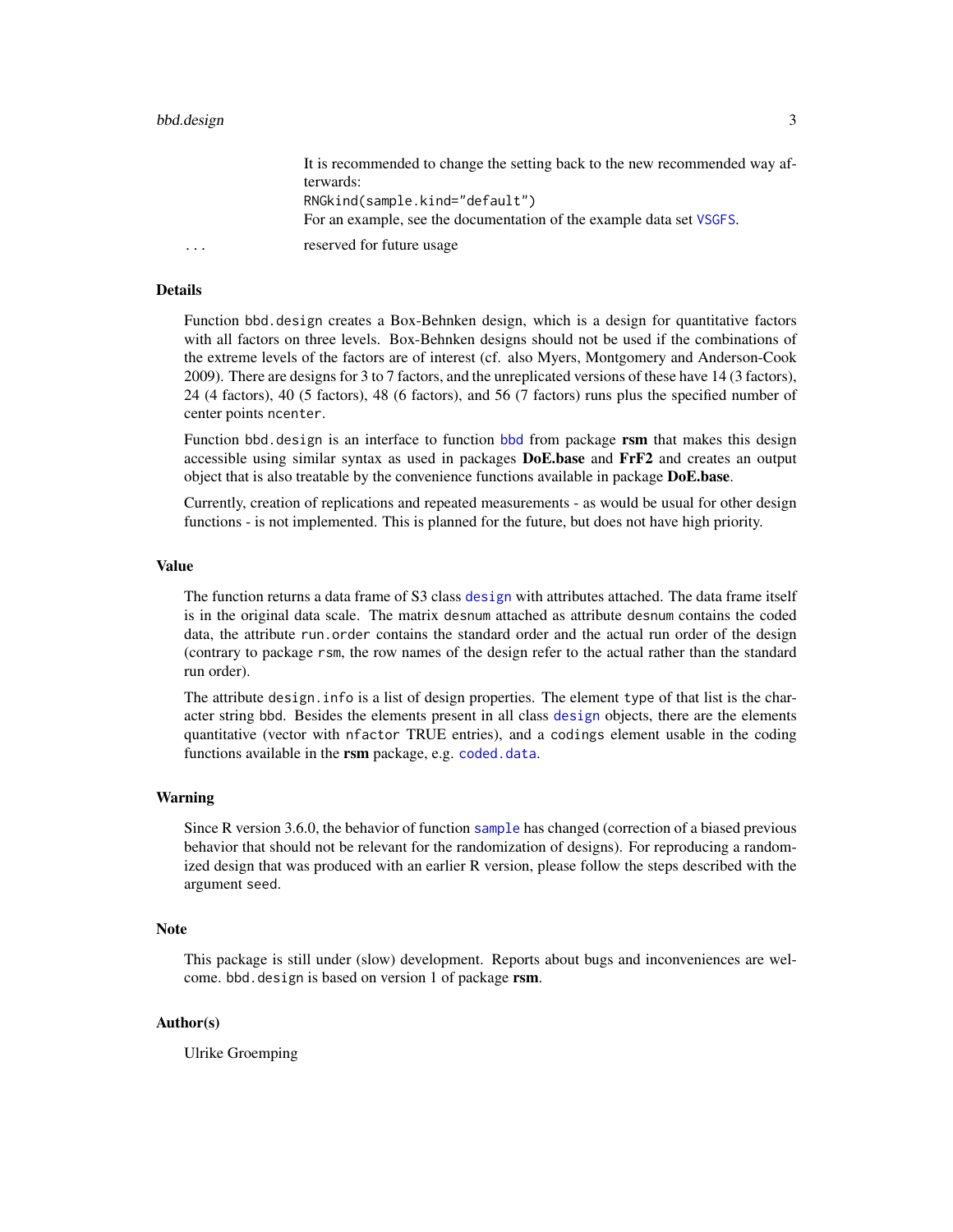<span id="page-2-0"></span>

|   | It is recommended to change the setting back to the new recommended way af- |
|---|-----------------------------------------------------------------------------|
|   | terwards:                                                                   |
|   | RNGkind(sample.kind="default")                                              |
|   | For an example, see the documentation of the example data set VSGFS.        |
| . | reserved for future usage                                                   |

#### Details

Function bbd.design creates a Box-Behnken design, which is a design for quantitative factors with all factors on three levels. Box-Behnken designs should not be used if the combinations of the extreme levels of the factors are of interest (cf. also Myers, Montgomery and Anderson-Cook 2009). There are designs for 3 to 7 factors, and the unreplicated versions of these have 14 (3 factors), 24 (4 factors), 40 (5 factors), 48 (6 factors), and 56 (7 factors) runs plus the specified number of center points ncenter.

Function [bbd](#page-0-0). design is an interface to function bbd from package rsm that makes this design accessible using similar syntax as used in packages DoE.base and FrF2 and creates an output object that is also treatable by the convenience functions available in package DoE.base.

Currently, creation of replications and repeated measurements - as would be usual for other design functions - is not implemented. This is planned for the future, but does not have high priority.

#### Value

The function returns a data frame of S3 class [design](#page-0-0) with attributes attached. The data frame itself is in the original data scale. The matrix desnum attached as attribute desnum contains the coded data, the attribute run.order contains the standard order and the actual run order of the design (contrary to package rsm, the row names of the design refer to the actual rather than the standard run order).

The attribute design.info is a list of design properties. The element type of that list is the character string bbd. Besides the elements present in all class [design](#page-0-0) objects, there are the elements quantitative (vector with nfactor TRUE entries), and a codings element usable in the coding functions available in the rsm package, e.g. [coded.data](#page-0-0).

#### Warning

Since R version 3.6.0, the behavior of function [sample](#page-0-0) has changed (correction of a biased previous behavior that should not be relevant for the randomization of designs). For reproducing a randomized design that was produced with an earlier R version, please follow the steps described with the argument seed.

#### Note

This package is still under (slow) development. Reports about bugs and inconveniences are welcome. bbd.design is based on version 1 of package rsm.

#### Author(s)

Ulrike Groemping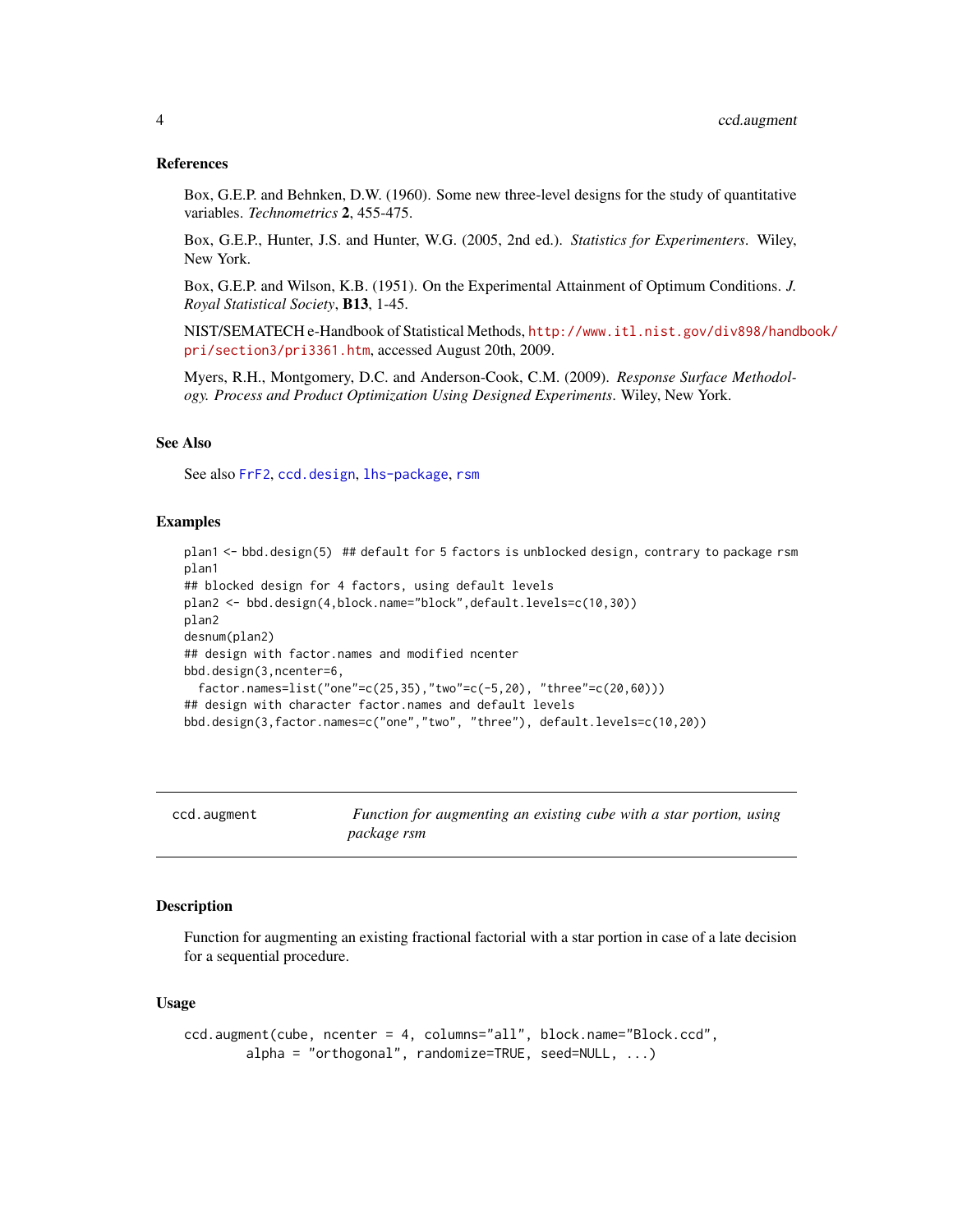#### <span id="page-3-0"></span>References

Box, G.E.P. and Behnken, D.W. (1960). Some new three-level designs for the study of quantitative variables. *Technometrics* 2, 455-475.

Box, G.E.P., Hunter, J.S. and Hunter, W.G. (2005, 2nd ed.). *Statistics for Experimenters*. Wiley, New York.

Box, G.E.P. and Wilson, K.B. (1951). On the Experimental Attainment of Optimum Conditions. *J. Royal Statistical Society*, B13, 1-45.

NIST/SEMATECH e-Handbook of Statistical Methods, [http://www.itl.nist.gov/div898/hand](http://www.itl.nist.gov/div898/handbook/pri/section3/pri3361.htm)book/ [pri/section3/pri3361.htm](http://www.itl.nist.gov/div898/handbook/pri/section3/pri3361.htm), accessed August 20th, 2009.

Myers, R.H., Montgomery, D.C. and Anderson-Cook, C.M. (2009). *Response Surface Methodology. Process and Product Optimization Using Designed Experiments*. Wiley, New York.

#### See Also

See also [FrF2](#page-0-0), [ccd.design](#page-6-1), [lhs-package](#page-0-0), [rsm](#page-0-0)

#### Examples

```
plan1 <- bbd.design(5) ## default for 5 factors is unblocked design, contrary to package rsm
plan1
## blocked design for 4 factors, using default levels
plan2 <- bbd.design(4,block.name="block",default.levels=c(10,30))
plan2
desnum(plan2)
## design with factor.names and modified ncenter
bbd.design(3,ncenter=6,
  factor.names=list("one"=c(25,35),"two"=c(-5,20), "three"=c(20,60)))
## design with character factor.names and default levels
bbd.design(3,factor.names=c("one","two", "three"), default.levels=c(10,20))
```
<span id="page-3-1"></span>

| ccd.augment |
|-------------|
|-------------|

Function for augmenting an existing cube with a star portion, using *package rsm*

#### Description

Function for augmenting an existing fractional factorial with a star portion in case of a late decision for a sequential procedure.

#### Usage

```
ccd.augment(cube, ncenter = 4, columns="all", block.name="Block.ccd",
       alpha = "orthogonal", randomize=TRUE, seed=NULL, ...)
```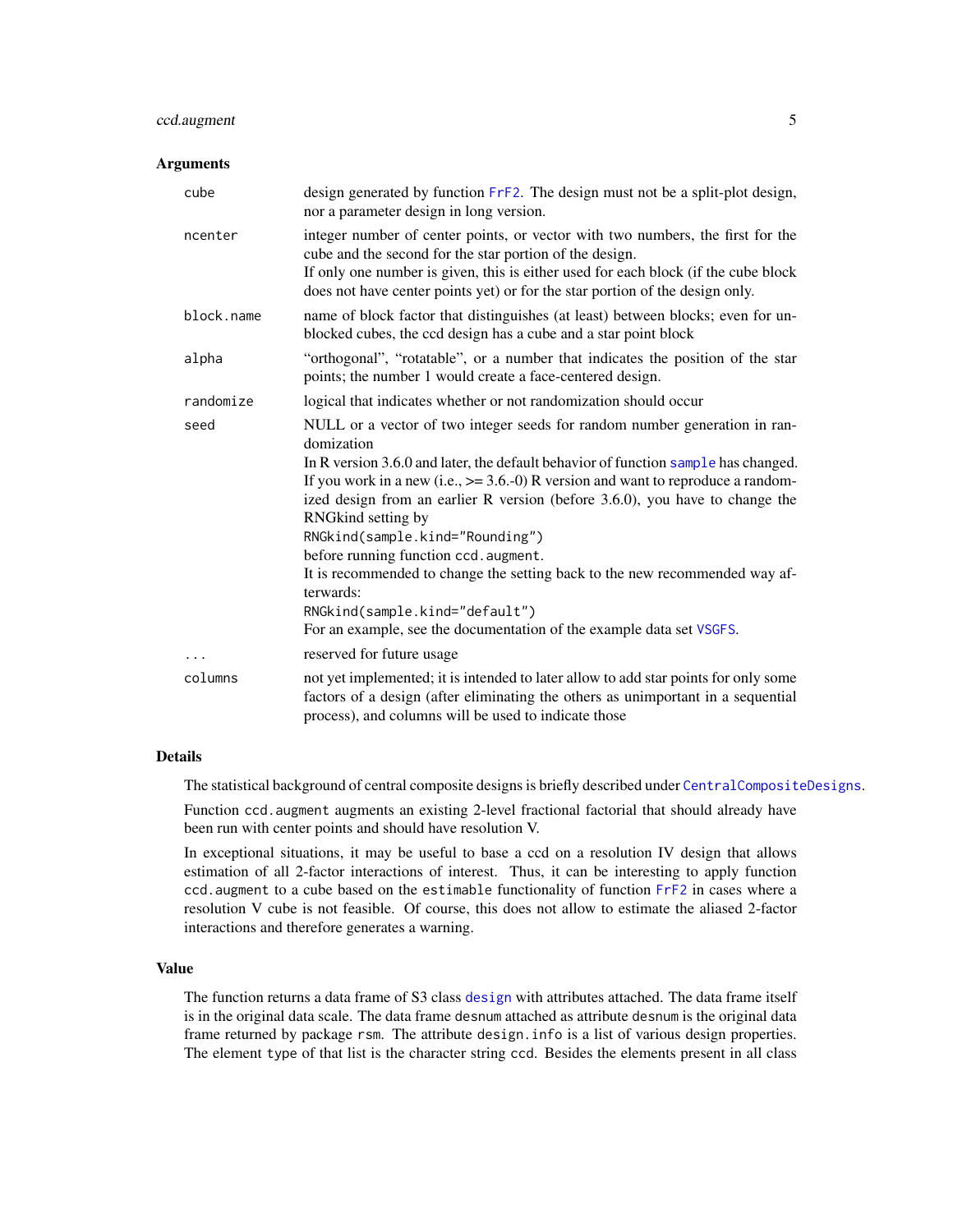# <span id="page-4-0"></span>ccd.augment 5

#### Arguments

| cube       | design generated by function FrF2. The design must not be a split-plot design,<br>nor a parameter design in long version.                                                                                                                                                                                                                                                                                                                                                                                                                             |
|------------|-------------------------------------------------------------------------------------------------------------------------------------------------------------------------------------------------------------------------------------------------------------------------------------------------------------------------------------------------------------------------------------------------------------------------------------------------------------------------------------------------------------------------------------------------------|
| ncenter    | integer number of center points, or vector with two numbers, the first for the<br>cube and the second for the star portion of the design.<br>If only one number is given, this is either used for each block (if the cube block<br>does not have center points yet) or for the star portion of the design only.                                                                                                                                                                                                                                       |
| block.name | name of block factor that distinguishes (at least) between blocks; even for un-<br>blocked cubes, the ccd design has a cube and a star point block                                                                                                                                                                                                                                                                                                                                                                                                    |
| alpha      | "orthogonal", "rotatable", or a number that indicates the position of the star<br>points; the number 1 would create a face-centered design.                                                                                                                                                                                                                                                                                                                                                                                                           |
| randomize  | logical that indicates whether or not randomization should occur                                                                                                                                                                                                                                                                                                                                                                                                                                                                                      |
| seed       | NULL or a vector of two integer seeds for random number generation in ran-<br>domization<br>In R version 3.6.0 and later, the default behavior of function sample has changed.<br>If you work in a new (i.e., $\ge$ = 3.6.-0) R version and want to reproduce a random-<br>ized design from an earlier R version (before 3.6.0), you have to change the<br>RNGkind setting by<br>RNGkind(sample.kind="Rounding")<br>before running function ccd. augment.<br>It is recommended to change the setting back to the new recommended way af-<br>terwards: |
|            | RNGkind(sample.kind="default")                                                                                                                                                                                                                                                                                                                                                                                                                                                                                                                        |
|            | For an example, see the documentation of the example data set VSGFS.                                                                                                                                                                                                                                                                                                                                                                                                                                                                                  |
| .          | reserved for future usage                                                                                                                                                                                                                                                                                                                                                                                                                                                                                                                             |
| columns    | not yet implemented; it is intended to later allow to add star points for only some<br>factors of a design (after eliminating the others as unimportant in a sequential<br>process), and columns will be used to indicate those                                                                                                                                                                                                                                                                                                                       |

#### Details

The statistical background of central composite designs is briefly described under [CentralCompositeDesigns](#page-10-1).

Function ccd. augment augments an existing 2-level fractional factorial that should already have been run with center points and should have resolution V.

In exceptional situations, it may be useful to base a ccd on a resolution IV design that allows estimation of all 2-factor interactions of interest. Thus, it can be interesting to apply function ccd.augment to a cube based on the estimable functionality of function [FrF2](#page-0-0) in cases where a resolution V cube is not feasible. Of course, this does not allow to estimate the aliased 2-factor interactions and therefore generates a warning.

#### Value

The function returns a data frame of S3 class [design](#page-0-0) with attributes attached. The data frame itself is in the original data scale. The data frame desnum attached as attribute desnum is the original data frame returned by package rsm. The attribute design.info is a list of various design properties. The element type of that list is the character string ccd. Besides the elements present in all class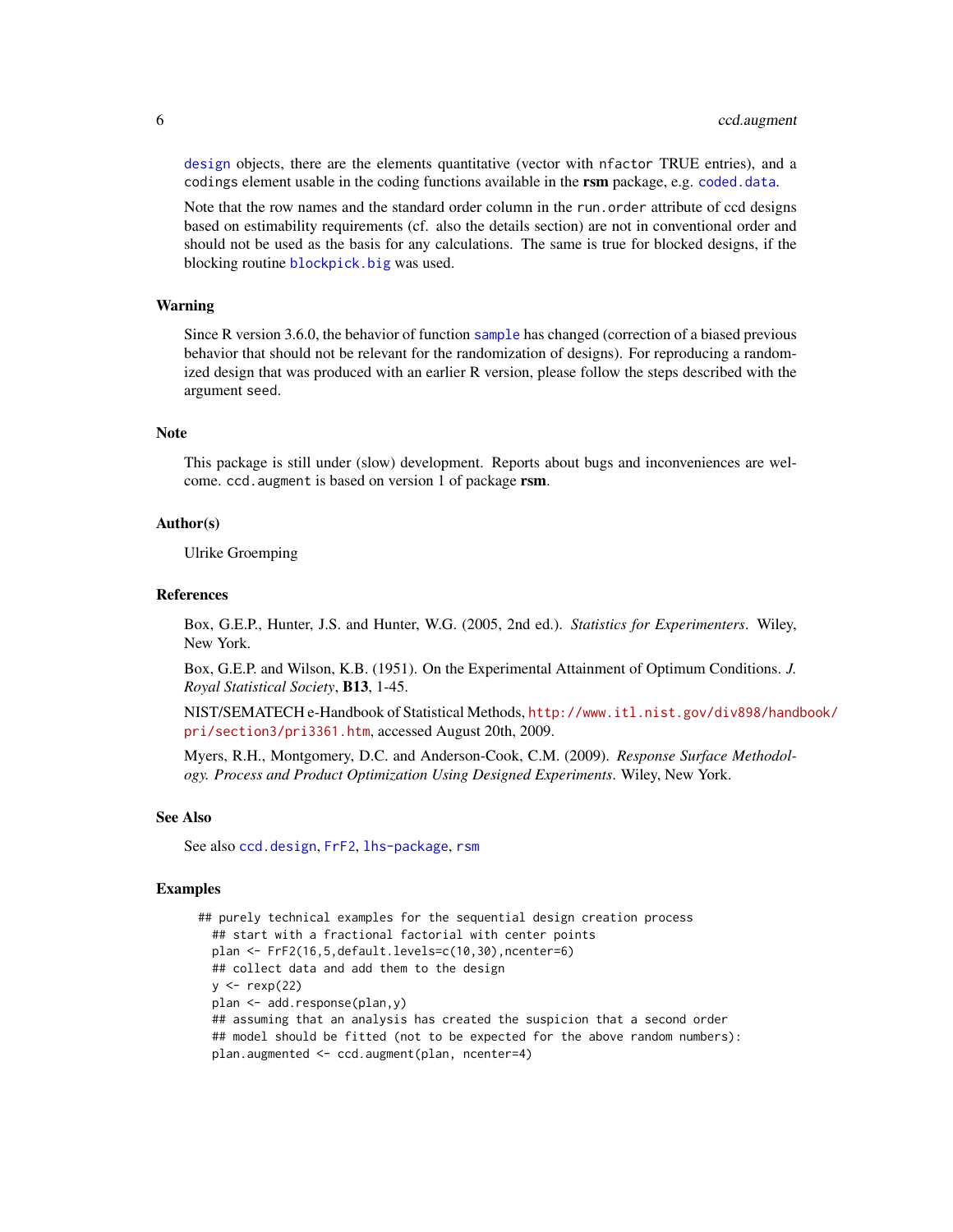<span id="page-5-0"></span>[design](#page-0-0) objects, there are the elements quantitative (vector with nfactor TRUE entries), and a codings element usable in the coding functions available in the **rsm** package, e.g. [coded.data](#page-0-0).

Note that the row names and the standard order column in the run.order attribute of ccd designs based on estimability requirements (cf. also the details section) are not in conventional order and should not be used as the basis for any calculations. The same is true for blocked designs, if the blocking routine [blockpick.big](#page-0-0) was used.

#### Warning

Since R version 3.6.0, the behavior of function [sample](#page-0-0) has changed (correction of a biased previous behavior that should not be relevant for the randomization of designs). For reproducing a randomized design that was produced with an earlier R version, please follow the steps described with the argument seed.

#### Note

This package is still under (slow) development. Reports about bugs and inconveniences are welcome. ccd.augment is based on version 1 of package rsm.

#### Author(s)

Ulrike Groemping

#### References

Box, G.E.P., Hunter, J.S. and Hunter, W.G. (2005, 2nd ed.). *Statistics for Experimenters*. Wiley, New York.

Box, G.E.P. and Wilson, K.B. (1951). On the Experimental Attainment of Optimum Conditions. *J. Royal Statistical Society*, B13, 1-45.

NIST/SEMATECH e-Handbook of Statistical Methods, [http://www.itl.nist.gov/div898/hand](http://www.itl.nist.gov/div898/handbook/pri/section3/pri3361.htm)book/ [pri/section3/pri3361.htm](http://www.itl.nist.gov/div898/handbook/pri/section3/pri3361.htm), accessed August 20th, 2009.

Myers, R.H., Montgomery, D.C. and Anderson-Cook, C.M. (2009). *Response Surface Methodology. Process and Product Optimization Using Designed Experiments*. Wiley, New York.

#### See Also

See also [ccd.design](#page-6-1), [FrF2](#page-0-0), [lhs-package](#page-0-0), [rsm](#page-0-0)

#### Examples

```
## purely technical examples for the sequential design creation process
  ## start with a fractional factorial with center points
 plan <- FrF2(16,5,default.levels=c(10,30),ncenter=6)
  ## collect data and add them to the design
  y \leftarrow \text{resp}(22)plan <- add.response(plan,y)
  ## assuming that an analysis has created the suspicion that a second order
  ## model should be fitted (not to be expected for the above random numbers):
  plan.augmented <- ccd.augment(plan, ncenter=4)
```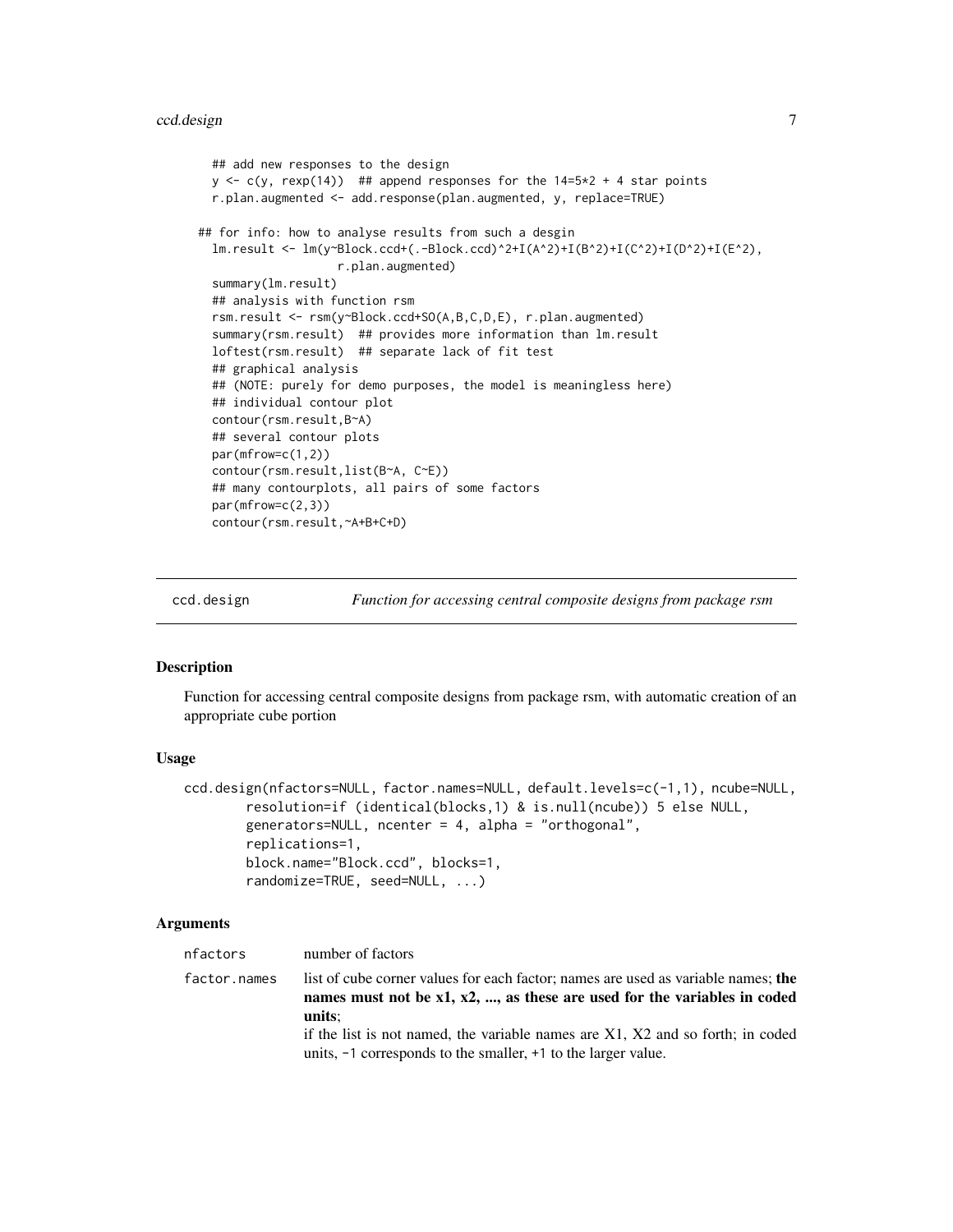```
## add new responses to the design
  y \leq c(y, \text{resp}(14)) ## append responses for the 14=5*2 + 4 star points
  r.plan.augmented <- add.response(plan.augmented, y, replace=TRUE)
## for info: how to analyse results from such a desgin
  lm.result <- lm(y~Block.ccd+(.-Block.ccd)^2+I(A^2)+I(B^2)+I(C^2)+I(D^2)+I(E^2),
                    r.plan.augmented)
  summary(lm.result)
  ## analysis with function rsm
  rsm.result <- rsm(y~Block.ccd+SO(A,B,C,D,E), r.plan.augmented)
  summary(rsm.result) ## provides more information than lm.result
  loftest(rsm.result) ## separate lack of fit test
  ## graphical analysis
  ## (NOTE: purely for demo purposes, the model is meaningless here)
  ## individual contour plot
  contour(rsm.result,B~A)
  ## several contour plots
  par(mfrow=c(1,2))
  contour(rsm.result,list(B~A, C~E))
  ## many contourplots, all pairs of some factors
  par(mfrow=c(2,3))
  contour(rsm.result,~A+B+C+D)
```
<span id="page-6-1"></span>

ccd.design *Function for accessing central composite designs from package rsm*

#### **Description**

Function for accessing central composite designs from package rsm, with automatic creation of an appropriate cube portion

#### Usage

```
ccd.design(nfactors=NULL, factor.names=NULL, default.levels=c(-1,1), ncube=NULL,
        resolution=if (identical(blocks,1) & is.null(ncube)) 5 else NULL,
       generators=NULL, ncenter = 4, alpha = "orthogonal",
        replications=1,
       block.name="Block.ccd", blocks=1,
        randomize=TRUE, seed=NULL, ...)
```
#### Arguments

| nfactors     | number of factors                                                                                                                                                             |
|--------------|-------------------------------------------------------------------------------------------------------------------------------------------------------------------------------|
| factor.names | list of cube corner values for each factor; names are used as variable names; the<br>names must not be $x1$ , $x2$ , , as these are used for the variables in coded<br>units: |
|              | if the list is not named, the variable names are $X1$ , $X2$ and so forth; in coded<br>units, $-1$ corresponds to the smaller, $+1$ to the larger value.                      |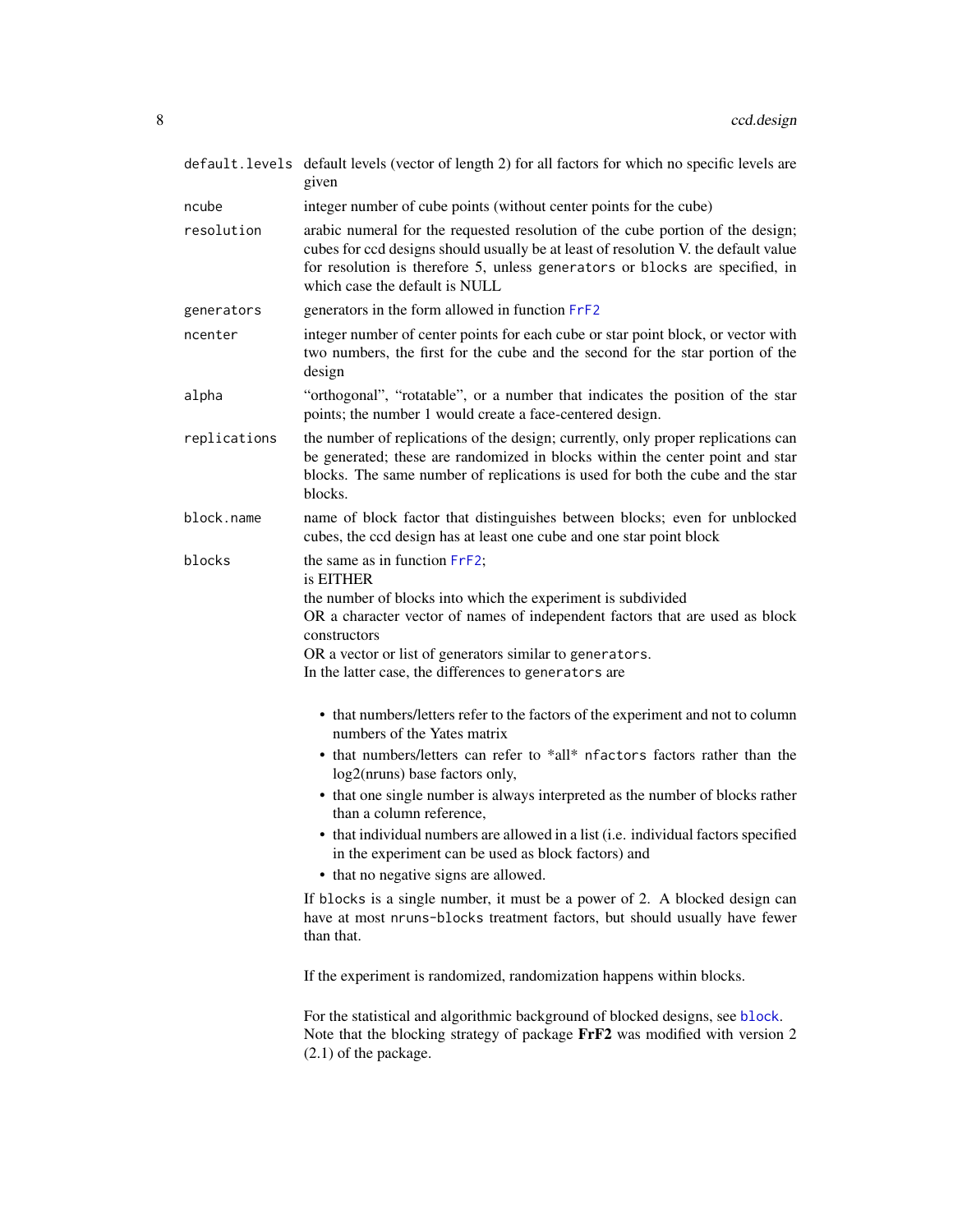<span id="page-7-0"></span>

|              | default. levels default levels (vector of length 2) for all factors for which no specific levels are<br>given                                                                                                                                                                                                                   |
|--------------|---------------------------------------------------------------------------------------------------------------------------------------------------------------------------------------------------------------------------------------------------------------------------------------------------------------------------------|
| ncube        | integer number of cube points (without center points for the cube)                                                                                                                                                                                                                                                              |
| resolution   | arabic numeral for the requested resolution of the cube portion of the design;<br>cubes for ccd designs should usually be at least of resolution V. the default value<br>for resolution is therefore 5, unless generators or blocks are specified, in<br>which case the default is NULL                                         |
| generators   | generators in the form allowed in function FrF2                                                                                                                                                                                                                                                                                 |
| ncenter      | integer number of center points for each cube or star point block, or vector with<br>two numbers, the first for the cube and the second for the star portion of the<br>design                                                                                                                                                   |
| alpha        | "orthogonal", "rotatable", or a number that indicates the position of the star<br>points; the number 1 would create a face-centered design.                                                                                                                                                                                     |
| replications | the number of replications of the design; currently, only proper replications can<br>be generated; these are randomized in blocks within the center point and star<br>blocks. The same number of replications is used for both the cube and the star<br>blocks.                                                                 |
| block.name   | name of block factor that distinguishes between blocks; even for unblocked<br>cubes, the ccd design has at least one cube and one star point block                                                                                                                                                                              |
| blocks       | the same as in function FrF2;<br>is EITHER<br>the number of blocks into which the experiment is subdivided<br>OR a character vector of names of independent factors that are used as block<br>constructors<br>OR a vector or list of generators similar to generators.<br>In the latter case, the differences to generators are |
|              | • that numbers/letters refer to the factors of the experiment and not to column<br>numbers of the Yates matrix<br>• that numbers/letters can refer to *all* nfactors factors rather than the<br>log2(nruns) base factors only,<br>• that one single number is always interpreted as the number of blocks rather                 |
|              | than a column reference,<br>• that individual numbers are allowed in a list (i.e. individual factors specified                                                                                                                                                                                                                  |
|              | in the experiment can be used as block factors) and<br>• that no negative signs are allowed.                                                                                                                                                                                                                                    |
|              | If blocks is a single number, it must be a power of 2. A blocked design can<br>have at most nruns-blocks treatment factors, but should usually have fewer<br>than that.                                                                                                                                                         |
|              | If the experiment is randomized, randomization happens within blocks.                                                                                                                                                                                                                                                           |
|              | For the statistical and algorithmic background of blocked designs, see block.<br>Note that the blocking strategy of package FrF2 was modified with version 2<br>$(2.1)$ of the package.                                                                                                                                         |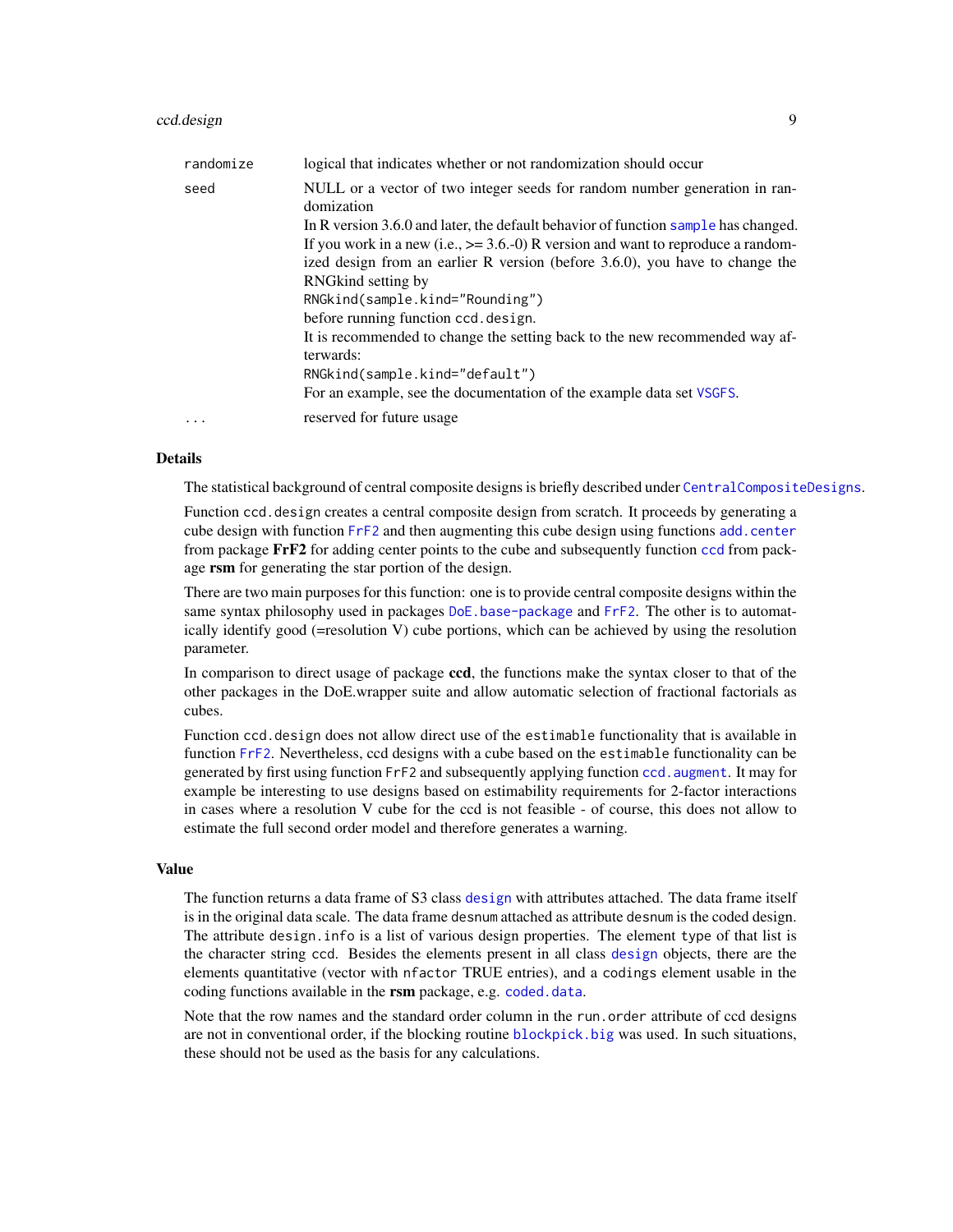#### <span id="page-8-0"></span>ccd.design 90  $\sim$  90  $\sim$  90  $\sim$  90  $\sim$  90  $\sim$  90  $\sim$  90  $\sim$  90  $\sim$  90  $\sim$  90  $\sim$  90  $\sim$  90  $\sim$  90  $\sim$  90  $\sim$  90  $\sim$  90  $\sim$  90  $\sim$  90  $\sim$  90  $\sim$  90  $\sim$  90  $\sim$  90  $\sim$  90  $\sim$  90  $\sim$  90  $\sim$  90  $\sim$  90

| randomize | logical that indicates whether or not randomization should occur                                                                                                                                                                                                                                                                                      |
|-----------|-------------------------------------------------------------------------------------------------------------------------------------------------------------------------------------------------------------------------------------------------------------------------------------------------------------------------------------------------------|
| seed      | NULL or a vector of two integer seeds for random number generation in ran-<br>domization<br>In R version 3.6.0 and later, the default behavior of function sample has changed.<br>If you work in a new (i.e., $>= 3.6.-0$ ) R version and want to reproduce a random-<br>ized design from an earlier R version (before 3.6.0), you have to change the |
|           | RNG kind setting by<br>RNGkind(sample.kind="Rounding")<br>before running function ccd. design.                                                                                                                                                                                                                                                        |
|           | It is recommended to change the setting back to the new recommended way af-<br>terwards:<br>RNGkind(sample.kind="default")<br>For an example, see the documentation of the example data set VSGFS.                                                                                                                                                    |
| $\cdots$  | reserved for future usage                                                                                                                                                                                                                                                                                                                             |

#### Details

The statistical background of central composite designs is briefly described under [CentralCompositeDesigns](#page-10-1).

Function ccd.design creates a central composite design from scratch. It proceeds by generating a cube design with function [FrF2](#page-0-0) and then augmenting this cube design using functions [add.center](#page-0-0) from package FrF2 for adding center points to the cube and subsequently function [ccd](#page-0-0) from package rsm for generating the star portion of the design.

There are two main purposes for this function: one is to provide central composite designs within the same syntax philosophy used in packages [DoE.base-package](#page-0-0) and [FrF2](#page-0-0). The other is to automatically identify good (=resolution V) cube portions, which can be achieved by using the resolution parameter.

In comparison to direct usage of package **ccd**, the functions make the syntax closer to that of the other packages in the DoE.wrapper suite and allow automatic selection of fractional factorials as cubes.

Function ccd.design does not allow direct use of the estimable functionality that is available in function [FrF2](#page-0-0). Nevertheless, ccd designs with a cube based on the estimable functionality can be generated by first using function FrF2 and subsequently applying function [ccd.augment](#page-3-1). It may for example be interesting to use designs based on estimability requirements for 2-factor interactions in cases where a resolution V cube for the ccd is not feasible - of course, this does not allow to estimate the full second order model and therefore generates a warning.

#### Value

The function returns a data frame of S3 class [design](#page-0-0) with attributes attached. The data frame itself is in the original data scale. The data frame desnum attached as attribute desnum is the coded design. The attribute design.info is a list of various design properties. The element type of that list is the character string ccd. Besides the elements present in all class [design](#page-0-0) objects, there are the elements quantitative (vector with nfactor TRUE entries), and a codings element usable in the coding functions available in the rsm package, e.g. [coded.data](#page-0-0).

Note that the row names and the standard order column in the run.order attribute of ccd designs are not in conventional order, if the blocking routine [blockpick.big](#page-0-0) was used. In such situations, these should not be used as the basis for any calculations.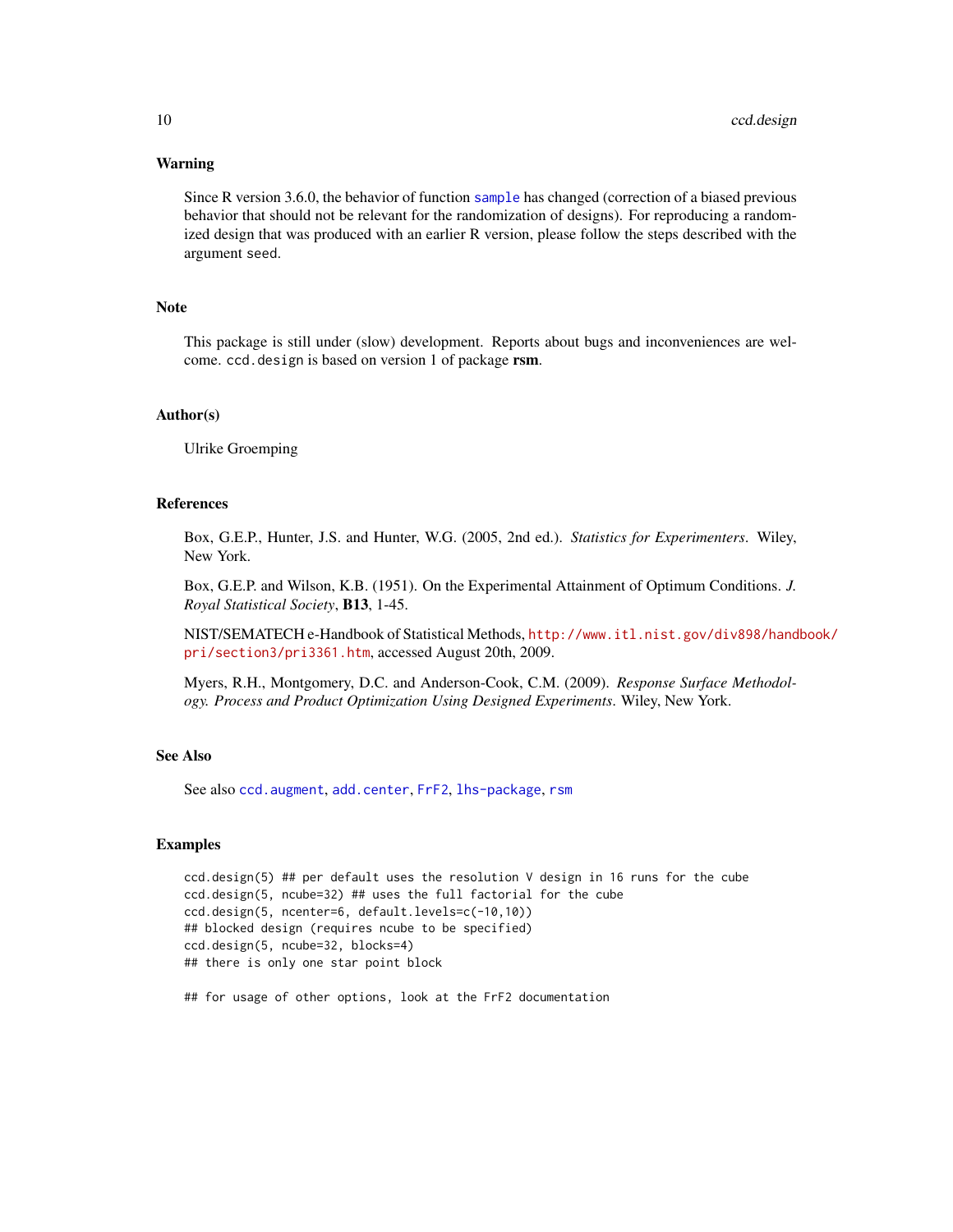#### Warning

Since R version 3.6.0, the behavior of function [sample](#page-0-0) has changed (correction of a biased previous behavior that should not be relevant for the randomization of designs). For reproducing a randomized design that was produced with an earlier R version, please follow the steps described with the argument seed.

#### Note

This package is still under (slow) development. Reports about bugs and inconveniences are welcome. ccd.design is based on version 1 of package rsm.

#### Author(s)

Ulrike Groemping

#### References

Box, G.E.P., Hunter, J.S. and Hunter, W.G. (2005, 2nd ed.). *Statistics for Experimenters*. Wiley, New York.

Box, G.E.P. and Wilson, K.B. (1951). On the Experimental Attainment of Optimum Conditions. *J. Royal Statistical Society*, B13, 1-45.

NIST/SEMATECH e-Handbook of Statistical Methods, [http://www.itl.nist.gov/div898/hand](http://www.itl.nist.gov/div898/handbook/pri/section3/pri3361.htm)book/ [pri/section3/pri3361.htm](http://www.itl.nist.gov/div898/handbook/pri/section3/pri3361.htm), accessed August 20th, 2009.

Myers, R.H., Montgomery, D.C. and Anderson-Cook, C.M. (2009). *Response Surface Methodology. Process and Product Optimization Using Designed Experiments*. Wiley, New York.

#### See Also

See also [ccd.augment](#page-3-1), [add.center](#page-0-0), [FrF2](#page-0-0), [lhs-package](#page-0-0), [rsm](#page-0-0)

#### Examples

```
ccd.design(5) ## per default uses the resolution V design in 16 runs for the cube
ccd.design(5, ncube=32) ## uses the full factorial for the cube
ccd.design(5, ncenter=6, default.levels=c(-10,10))
## blocked design (requires ncube to be specified)
ccd.design(5, ncube=32, blocks=4)
## there is only one star point block
```
## for usage of other options, look at the FrF2 documentation

<span id="page-9-0"></span>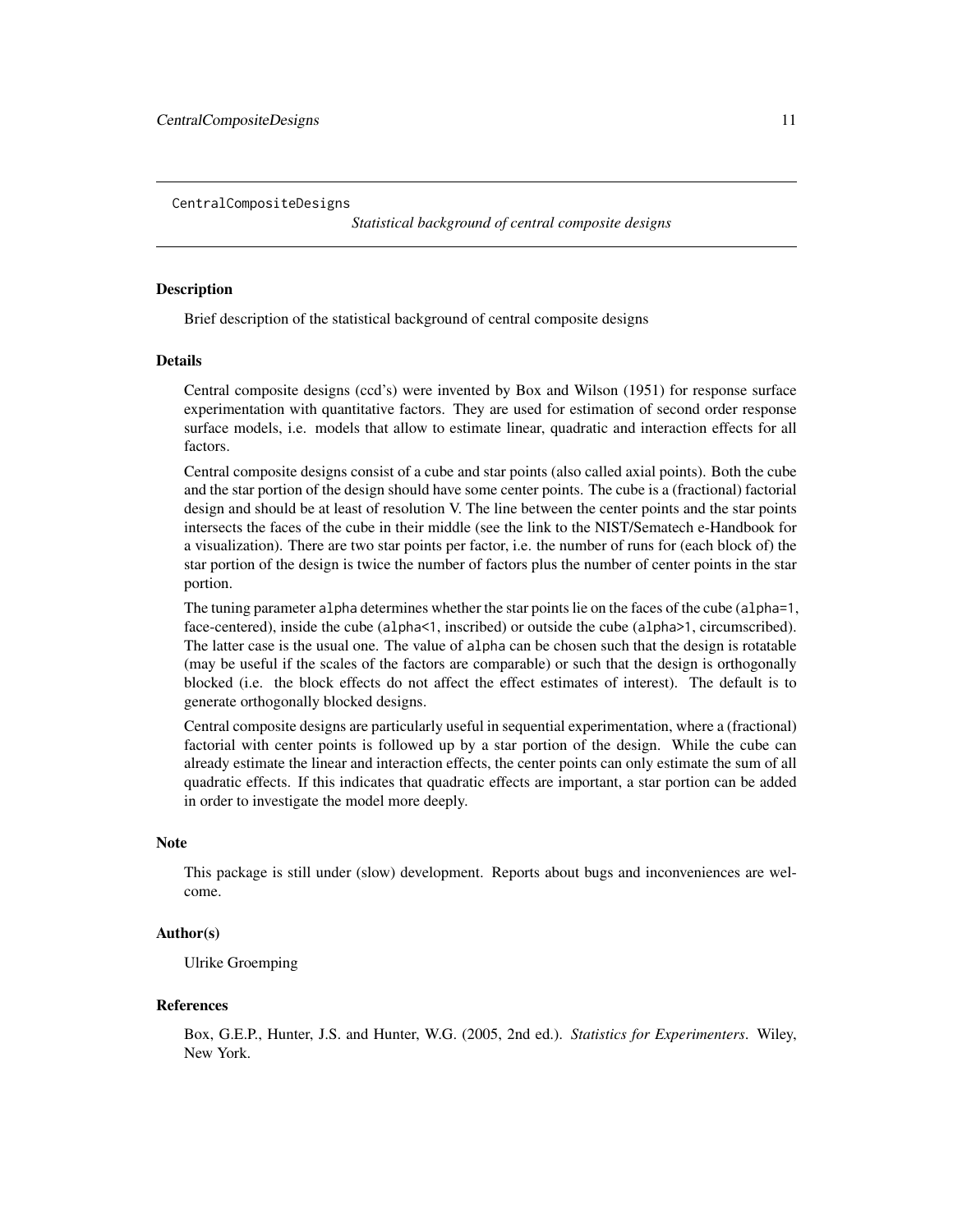<span id="page-10-1"></span><span id="page-10-0"></span>CentralCompositeDesigns

*Statistical background of central composite designs*

#### Description

Brief description of the statistical background of central composite designs

#### Details

Central composite designs (ccd's) were invented by Box and Wilson (1951) for response surface experimentation with quantitative factors. They are used for estimation of second order response surface models, i.e. models that allow to estimate linear, quadratic and interaction effects for all factors.

Central composite designs consist of a cube and star points (also called axial points). Both the cube and the star portion of the design should have some center points. The cube is a (fractional) factorial design and should be at least of resolution V. The line between the center points and the star points intersects the faces of the cube in their middle (see the link to the NIST/Sematech e-Handbook for a visualization). There are two star points per factor, i.e. the number of runs for (each block of) the star portion of the design is twice the number of factors plus the number of center points in the star portion.

The tuning parameter alpha determines whether the star points lie on the faces of the cube (alpha=1, face-centered), inside the cube (alpha<1, inscribed) or outside the cube (alpha>1, circumscribed). The latter case is the usual one. The value of alpha can be chosen such that the design is rotatable (may be useful if the scales of the factors are comparable) or such that the design is orthogonally blocked (i.e. the block effects do not affect the effect estimates of interest). The default is to generate orthogonally blocked designs.

Central composite designs are particularly useful in sequential experimentation, where a (fractional) factorial with center points is followed up by a star portion of the design. While the cube can already estimate the linear and interaction effects, the center points can only estimate the sum of all quadratic effects. If this indicates that quadratic effects are important, a star portion can be added in order to investigate the model more deeply.

#### **Note**

This package is still under (slow) development. Reports about bugs and inconveniences are welcome.

#### Author(s)

Ulrike Groemping

#### References

Box, G.E.P., Hunter, J.S. and Hunter, W.G. (2005, 2nd ed.). *Statistics for Experimenters*. Wiley, New York.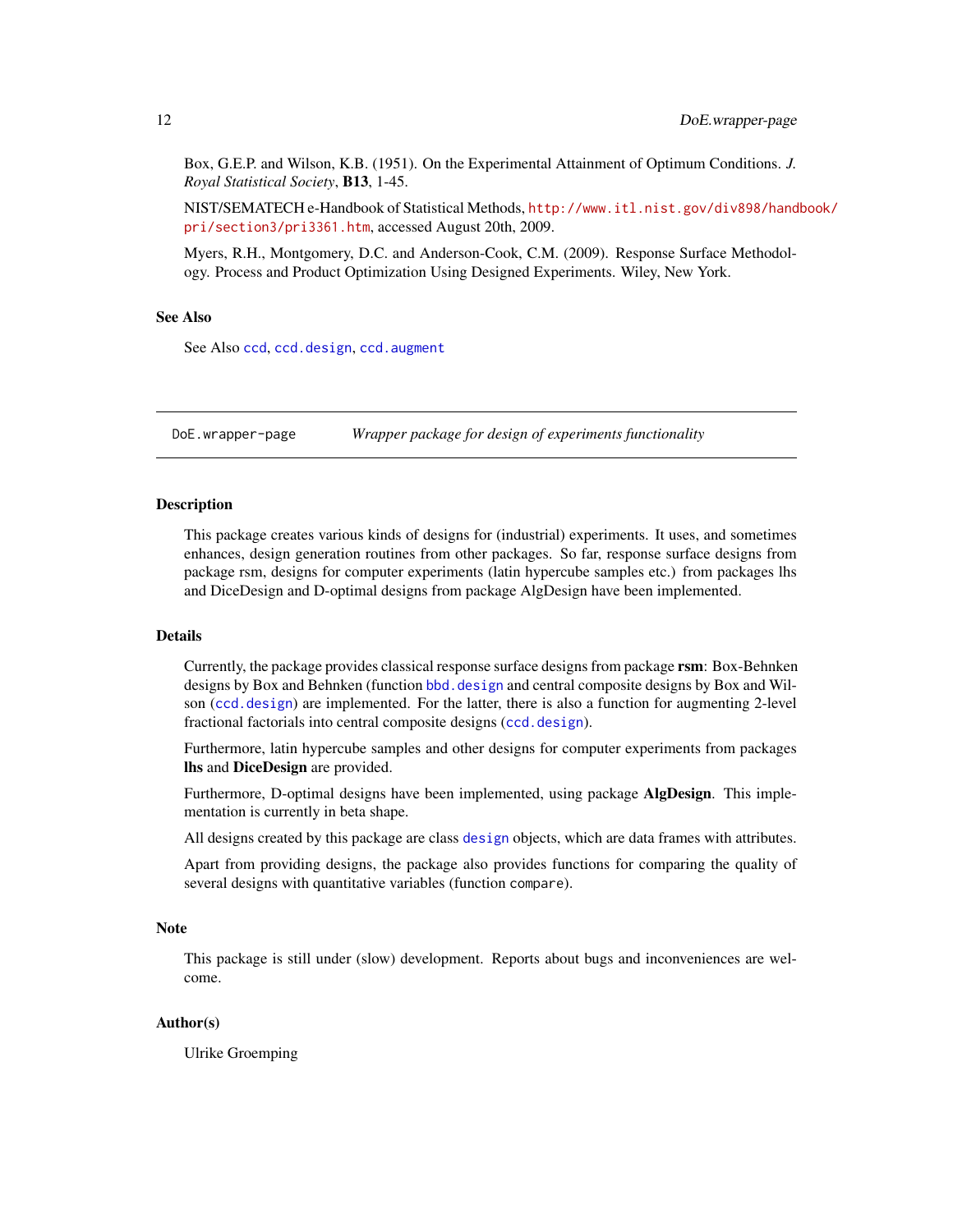<span id="page-11-0"></span>Box, G.E.P. and Wilson, K.B. (1951). On the Experimental Attainment of Optimum Conditions. *J. Royal Statistical Society*, B13, 1-45.

NIST/SEMATECH e-Handbook of Statistical Methods, [http://www.itl.nist.gov/div898/hand](http://www.itl.nist.gov/div898/handbook/pri/section3/pri3361.htm)book/ [pri/section3/pri3361.htm](http://www.itl.nist.gov/div898/handbook/pri/section3/pri3361.htm), accessed August 20th, 2009.

Myers, R.H., Montgomery, D.C. and Anderson-Cook, C.M. (2009). Response Surface Methodology. Process and Product Optimization Using Designed Experiments. Wiley, New York.

# See Also

See Also [ccd](#page-0-0), [ccd.design](#page-6-1), [ccd.augment](#page-3-1)

DoE.wrapper-page *Wrapper package for design of experiments functionality*

#### Description

This package creates various kinds of designs for (industrial) experiments. It uses, and sometimes enhances, design generation routines from other packages. So far, response surface designs from package rsm, designs for computer experiments (latin hypercube samples etc.) from packages lhs and DiceDesign and D-optimal designs from package AlgDesign have been implemented.

#### Details

Currently, the package provides classical response surface designs from package rsm: Box-Behnken designs by Box and Behnken (function bbd. design and central composite designs by Box and Wilson ([ccd.design](#page-6-1)) are implemented. For the latter, there is also a function for augmenting 2-level fractional factorials into central composite designs ([ccd.design](#page-6-1)).

Furthermore, latin hypercube samples and other designs for computer experiments from packages lhs and DiceDesign are provided.

Furthermore, D-optimal designs have been implemented, using package AlgDesign. This implementation is currently in beta shape.

All designs created by this package are class [design](#page-0-0) objects, which are data frames with attributes.

Apart from providing designs, the package also provides functions for comparing the quality of several designs with quantitative variables (function compare).

#### **Note**

This package is still under (slow) development. Reports about bugs and inconveniences are welcome.

#### Author(s)

Ulrike Groemping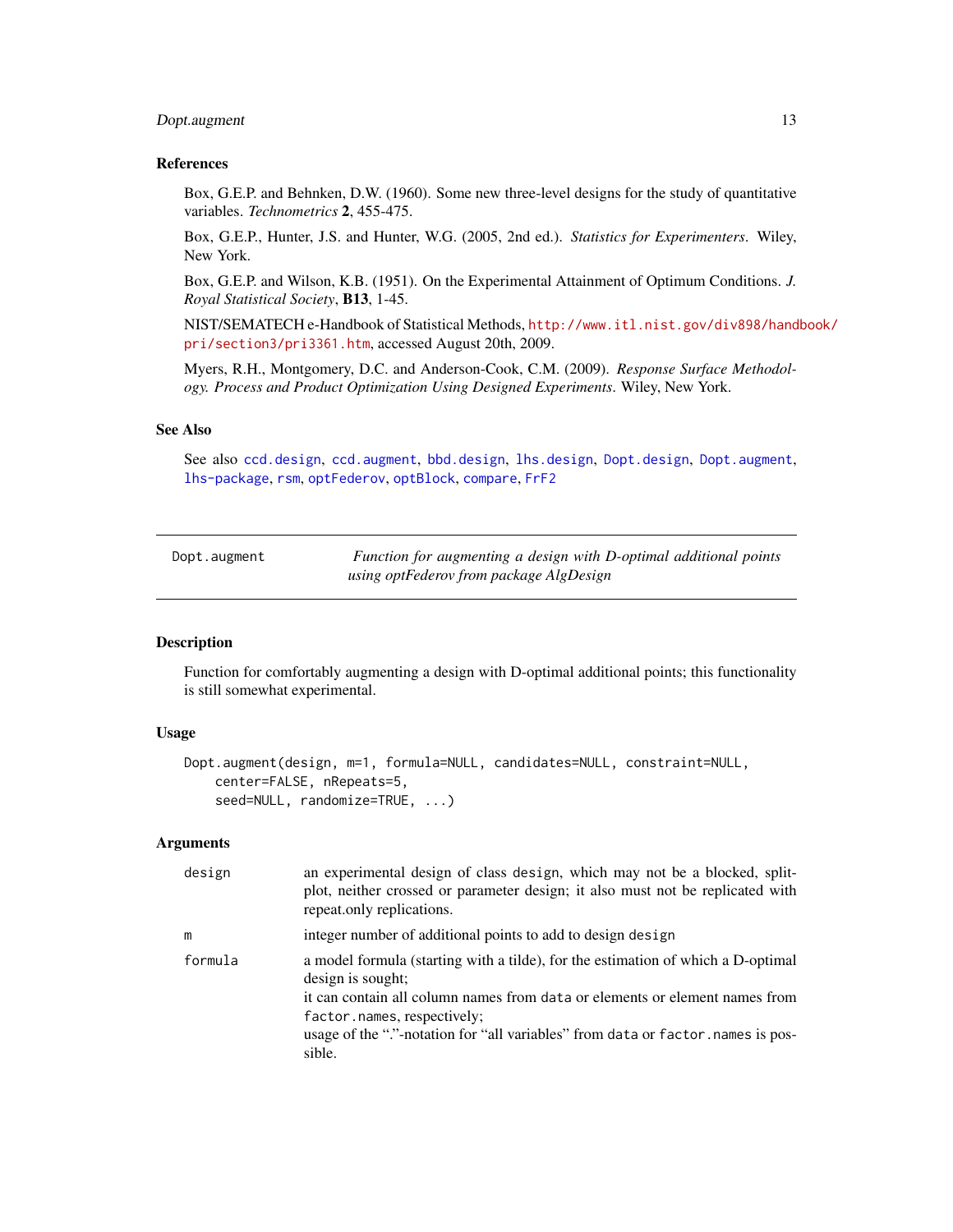# <span id="page-12-0"></span>Dopt.augment 13

#### References

Box, G.E.P. and Behnken, D.W. (1960). Some new three-level designs for the study of quantitative variables. *Technometrics* 2, 455-475.

Box, G.E.P., Hunter, J.S. and Hunter, W.G. (2005, 2nd ed.). *Statistics for Experimenters*. Wiley, New York.

Box, G.E.P. and Wilson, K.B. (1951). On the Experimental Attainment of Optimum Conditions. *J. Royal Statistical Society*, B13, 1-45.

NIST/SEMATECH e-Handbook of Statistical Methods, [http://www.itl.nist.gov/div898/hand](http://www.itl.nist.gov/div898/handbook/pri/section3/pri3361.htm)book/ [pri/section3/pri3361.htm](http://www.itl.nist.gov/div898/handbook/pri/section3/pri3361.htm), accessed August 20th, 2009.

Myers, R.H., Montgomery, D.C. and Anderson-Cook, C.M. (2009). *Response Surface Methodology. Process and Product Optimization Using Designed Experiments*. Wiley, New York.

#### See Also

See also [ccd.design](#page-6-1), [ccd.augment](#page-3-1), [bbd.design](#page-1-1), [lhs.design](#page-20-1), [Dopt.design](#page-15-1), [Dopt.augment](#page-12-1), [lhs-package](#page-0-0), [rsm](#page-0-0), [optFederov](#page-0-0), [optBlock](#page-0-0), [compare](#page-26-1), [FrF2](#page-0-0)

<span id="page-12-1"></span>

| Dopt.augment |  |
|--------------|--|
|              |  |

Function for augmenting a design with D-optimal additional points *using optFederov from package AlgDesign*

#### **Description**

Function for comfortably augmenting a design with D-optimal additional points; this functionality is still somewhat experimental.

#### Usage

```
Dopt.augment(design, m=1, formula=NULL, candidates=NULL, constraint=NULL,
   center=FALSE, nRepeats=5,
    seed=NULL, randomize=TRUE, ...)
```
#### Arguments

| design  | an experimental design of class design, which may not be a blocked, split-<br>plot, neither crossed or parameter design; it also must not be replicated with<br>repeat.only replications.                                                                                                                        |
|---------|------------------------------------------------------------------------------------------------------------------------------------------------------------------------------------------------------------------------------------------------------------------------------------------------------------------|
| m       | integer number of additional points to add to design design                                                                                                                                                                                                                                                      |
| formula | a model formula (starting with a tilde), for the estimation of which a D-optimal<br>design is sought;<br>it can contain all column names from data or elements or element names from<br>factor.names, respectively;<br>usage of the "."-notation for "all variables" from data or factor names is pos-<br>sible. |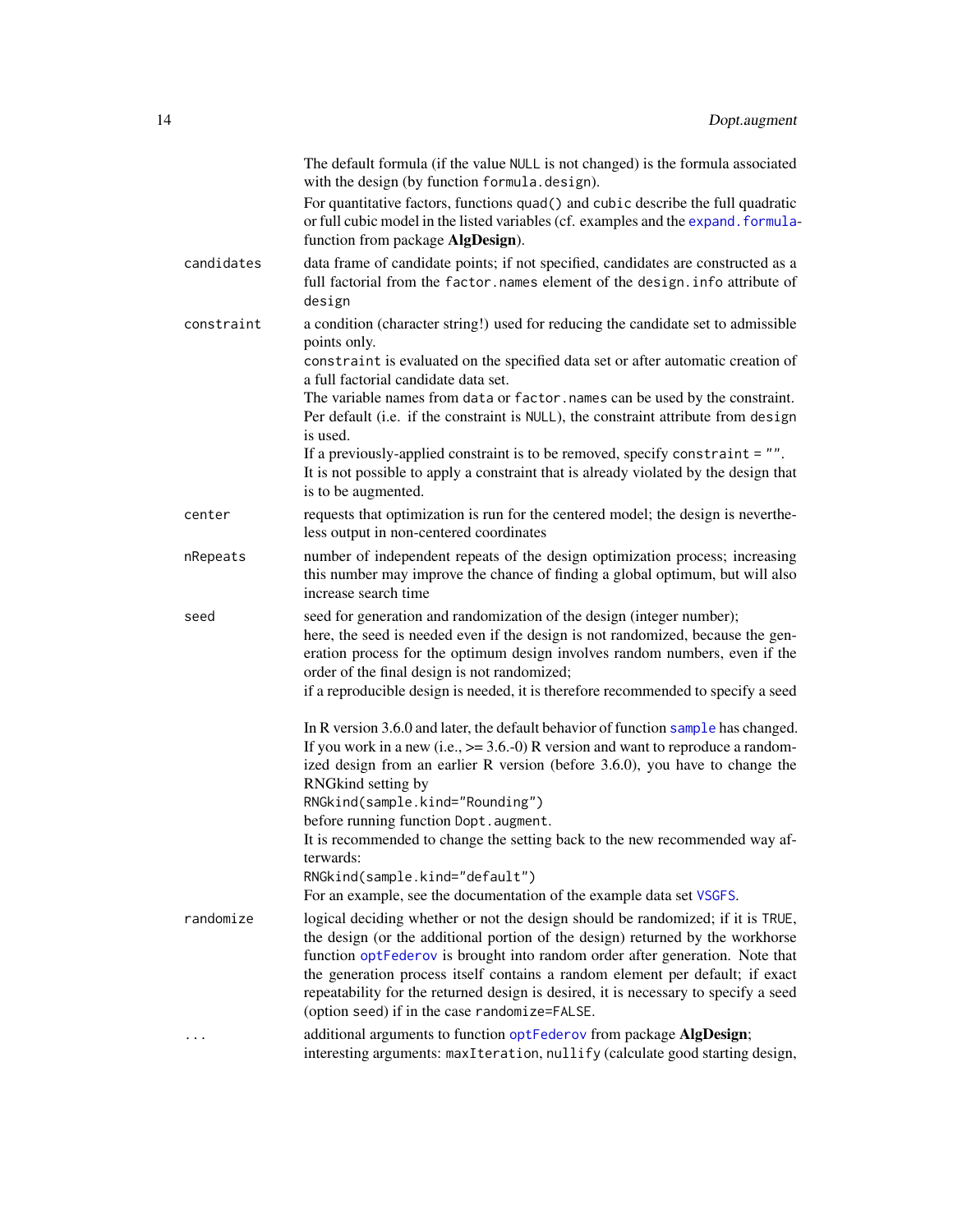<span id="page-13-0"></span>

|            | The default formula (if the value NULL is not changed) is the formula associated<br>with the design (by function formula.design).                                                                                                                                                                                                                                                                                                                                          |
|------------|----------------------------------------------------------------------------------------------------------------------------------------------------------------------------------------------------------------------------------------------------------------------------------------------------------------------------------------------------------------------------------------------------------------------------------------------------------------------------|
|            | For quantitative factors, functions quad() and cubic describe the full quadratic<br>or full cubic model in the listed variables (cf. examples and the expand. formula-<br>function from package AlgDesign).                                                                                                                                                                                                                                                                |
| candidates | data frame of candidate points; if not specified, candidates are constructed as a<br>full factorial from the factor.names element of the design.info attribute of<br>design                                                                                                                                                                                                                                                                                                |
| constraint | a condition (character string!) used for reducing the candidate set to admissible<br>points only.<br>constraint is evaluated on the specified data set or after automatic creation of<br>a full factorial candidate data set.                                                                                                                                                                                                                                              |
|            | The variable names from data or factor. names can be used by the constraint.<br>Per default (i.e. if the constraint is NULL), the constraint attribute from design<br>is used.                                                                                                                                                                                                                                                                                             |
|            | If a previously-applied constraint is to be removed, specify constraint $= "".$<br>It is not possible to apply a constraint that is already violated by the design that<br>is to be augmented.                                                                                                                                                                                                                                                                             |
| center     | requests that optimization is run for the centered model; the design is neverthe-<br>less output in non-centered coordinates                                                                                                                                                                                                                                                                                                                                               |
| nRepeats   | number of independent repeats of the design optimization process; increasing<br>this number may improve the chance of finding a global optimum, but will also<br>increase search time                                                                                                                                                                                                                                                                                      |
| seed       | seed for generation and randomization of the design (integer number);<br>here, the seed is needed even if the design is not randomized, because the gen-<br>eration process for the optimum design involves random numbers, even if the<br>order of the final design is not randomized;                                                                                                                                                                                    |
|            | if a reproducible design is needed, it is therefore recommended to specify a seed                                                                                                                                                                                                                                                                                                                                                                                          |
|            | In R version 3.6.0 and later, the default behavior of function sample has changed.<br>If you work in a new (i.e., $\ge$ = 3.6.-0) R version and want to reproduce a random-<br>ized design from an earlier R version (before 3.6.0), you have to change the<br>RNGkind setting by                                                                                                                                                                                          |
|            | RNGkind(sample.kind="Rounding")<br>before running function Dopt.augment.                                                                                                                                                                                                                                                                                                                                                                                                   |
|            | It is recommended to change the setting back to the new recommended way af-<br>terwards:<br>RNGkind(sample.kind="default")                                                                                                                                                                                                                                                                                                                                                 |
|            | For an example, see the documentation of the example data set VSGFS.                                                                                                                                                                                                                                                                                                                                                                                                       |
| randomize  | logical deciding whether or not the design should be randomized; if it is TRUE,<br>the design (or the additional portion of the design) returned by the workhorse<br>function optFederov is brought into random order after generation. Note that<br>the generation process itself contains a random element per default; if exact<br>repeatability for the returned design is desired, it is necessary to specify a seed<br>(option seed) if in the case randomize=FALSE. |
|            | additional arguments to function optFederov from package AlgDesign;<br>interesting arguments: maxIteration, nullify (calculate good starting design,                                                                                                                                                                                                                                                                                                                       |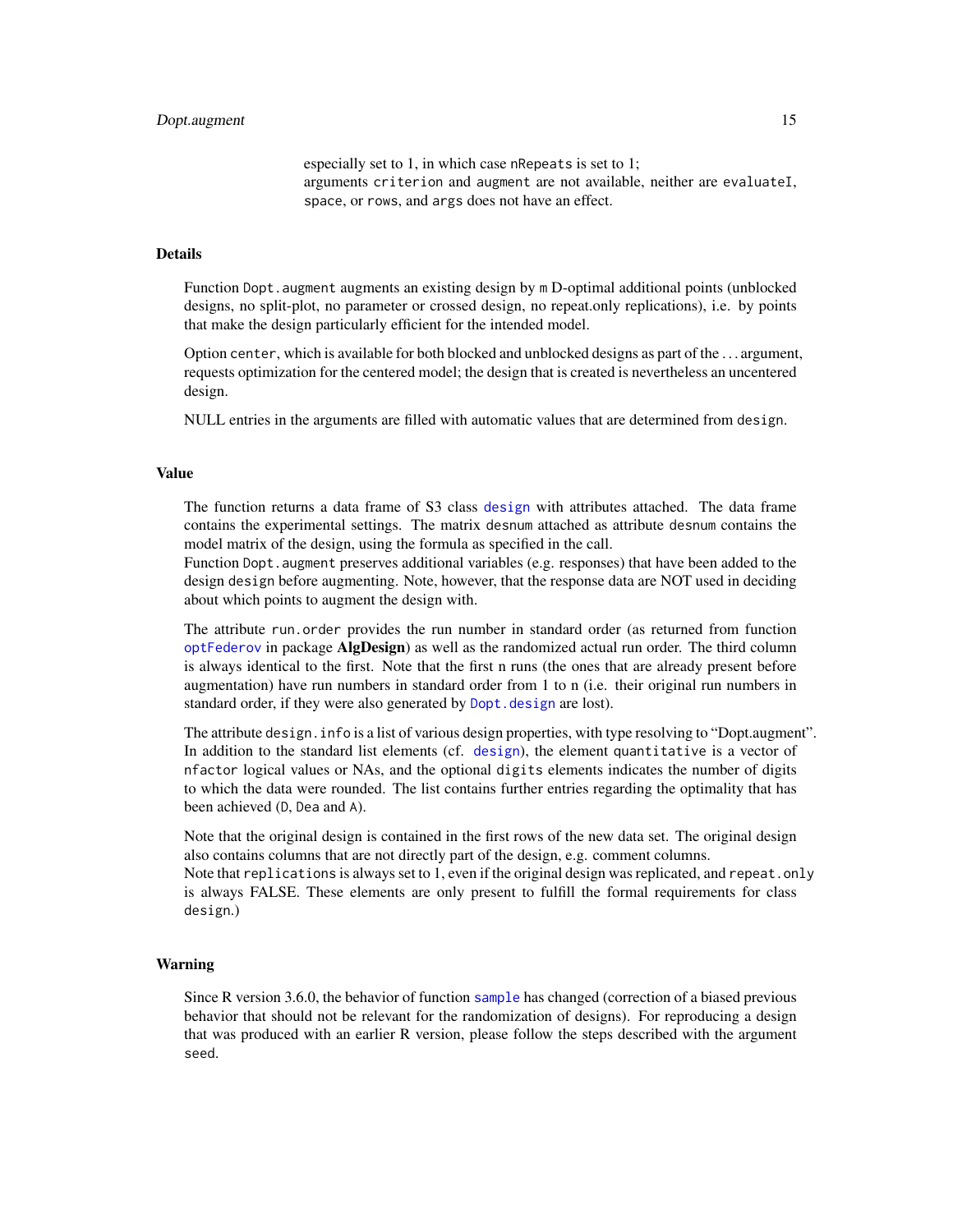especially set to 1, in which case nRepeats is set to 1; arguments criterion and augment are not available, neither are evaluateI, space, or rows, and args does not have an effect.

#### <span id="page-14-0"></span>Details

Function Dopt. augment augments an existing design by m D-optimal additional points (unblocked designs, no split-plot, no parameter or crossed design, no repeat.only replications), i.e. by points that make the design particularly efficient for the intended model.

Option center, which is available for both blocked and unblocked designs as part of the . . . argument, requests optimization for the centered model; the design that is created is nevertheless an uncentered design.

NULL entries in the arguments are filled with automatic values that are determined from design.

#### Value

The function returns a data frame of S3 class [design](#page-0-0) with attributes attached. The data frame contains the experimental settings. The matrix desnum attached as attribute desnum contains the model matrix of the design, using the formula as specified in the call.

Function Dopt. augment preserves additional variables (e.g. responses) that have been added to the design design before augmenting. Note, however, that the response data are NOT used in deciding about which points to augment the design with.

The attribute run.order provides the run number in standard order (as returned from function [optFederov](#page-0-0) in package AlgDesign) as well as the randomized actual run order. The third column is always identical to the first. Note that the first n runs (the ones that are already present before augmentation) have run numbers in standard order from 1 to n (i.e. their original run numbers in standard order, if they were also generated by Dopt. design are lost).

The attribute design. info is a list of various design properties, with type resolving to "Dopt.augment". In addition to the standard list elements (cf. [design](#page-0-0)), the element quantitative is a vector of nfactor logical values or NAs, and the optional digits elements indicates the number of digits to which the data were rounded. The list contains further entries regarding the optimality that has been achieved (D, Dea and A).

Note that the original design is contained in the first rows of the new data set. The original design also contains columns that are not directly part of the design, e.g. comment columns.

Note that replications is always set to 1, even if the original design was replicated, and repeat.only is always FALSE. These elements are only present to fulfill the formal requirements for class design.)

#### Warning

Since R version 3.6.0, the behavior of function [sample](#page-0-0) has changed (correction of a biased previous behavior that should not be relevant for the randomization of designs). For reproducing a design that was produced with an earlier R version, please follow the steps described with the argument seed.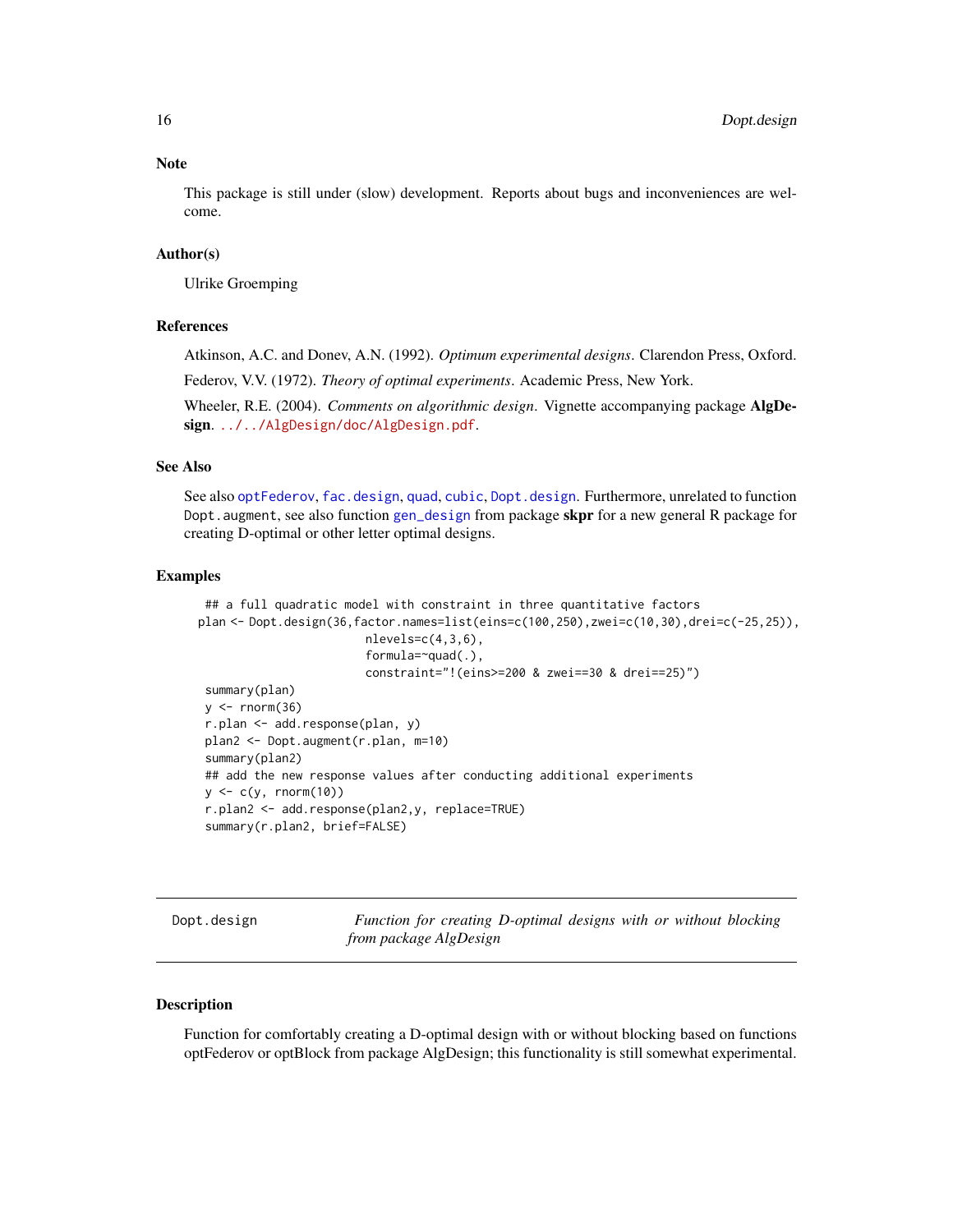#### **Note**

This package is still under (slow) development. Reports about bugs and inconveniences are welcome.

#### Author(s)

Ulrike Groemping

#### References

Atkinson, A.C. and Donev, A.N. (1992). *Optimum experimental designs*. Clarendon Press, Oxford.

Federov, V.V. (1972). *Theory of optimal experiments*. Academic Press, New York.

Wheeler, R.E. (2004). *Comments on algorithmic design*. Vignette accompanying package AlgDe-sign. <../../AlgDesign/doc/AlgDesign.pdf>.

#### See Also

See also [optFederov](#page-0-0), [fac.design](#page-0-0), [quad](#page-0-0), [cubic](#page-0-0), [Dopt.design](#page-15-1). Furthermore, unrelated to function Dopt. augment, see also function [gen\\_design](#page-0-0) from package skpr for a new general R package for creating D-optimal or other letter optimal designs.

#### Examples

```
## a full quadratic model with constraint in three quantitative factors
plan <- Dopt.design(36,factor.names=list(eins=c(100,250),zwei=c(10,30),drei=c(-25,25)),
                        nlevels=c(4,3,6),
                        formula=~quad(.),
                        constraint="!(eins>=200 & zwei==30 & drei==25)")
 summary(plan)
 y \le - rnorm(36)r.plan <- add.response(plan, y)
 plan2 <- Dopt.augment(r.plan, m=10)
 summary(plan2)
 ## add the new response values after conducting additional experiments
 y \leq c(y, \text{norm}(10))r.plan2 <- add.response(plan2,y, replace=TRUE)
 summary(r.plan2, brief=FALSE)
```
<span id="page-15-1"></span>Dopt.design *Function for creating D-optimal designs with or without blocking from package AlgDesign*

#### **Description**

Function for comfortably creating a D-optimal design with or without blocking based on functions optFederov or optBlock from package AlgDesign; this functionality is still somewhat experimental.

<span id="page-15-0"></span>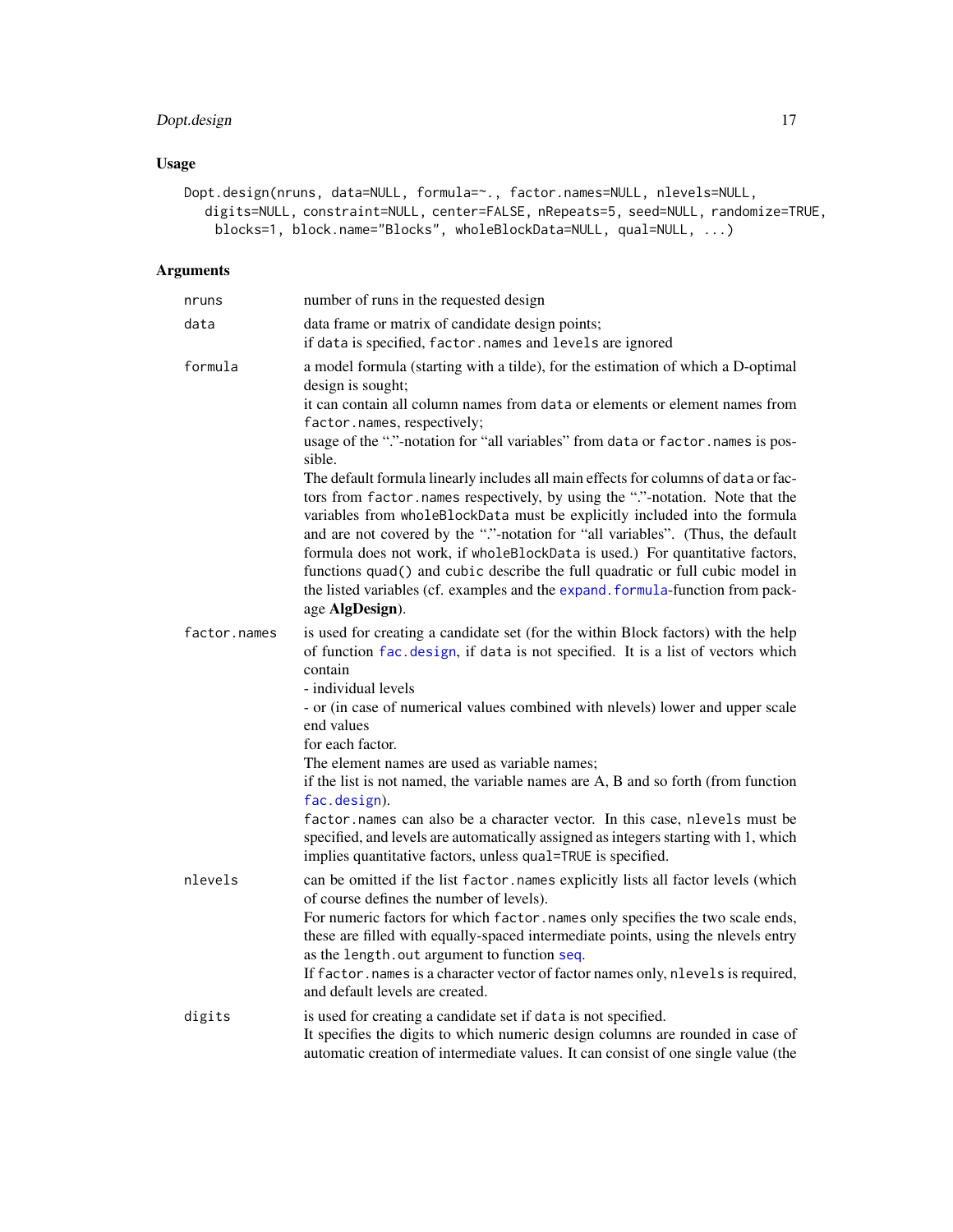# <span id="page-16-0"></span>Dopt.design 17

# Usage

```
Dopt.design(nruns, data=NULL, formula=~., factor.names=NULL, nlevels=NULL,
  digits=NULL, constraint=NULL, center=FALSE, nRepeats=5, seed=NULL, randomize=TRUE,
   blocks=1, block.name="Blocks", wholeBlockData=NULL, qual=NULL, ...)
```
# Arguments

| nruns        | number of runs in the requested design                                                                                                                                                                                                                                                                                                                                                                                                                                                                                                                                                                                                                                                                                                                                                                                    |
|--------------|---------------------------------------------------------------------------------------------------------------------------------------------------------------------------------------------------------------------------------------------------------------------------------------------------------------------------------------------------------------------------------------------------------------------------------------------------------------------------------------------------------------------------------------------------------------------------------------------------------------------------------------------------------------------------------------------------------------------------------------------------------------------------------------------------------------------------|
| data         | data frame or matrix of candidate design points;<br>if data is specified, factor.names and levels are ignored                                                                                                                                                                                                                                                                                                                                                                                                                                                                                                                                                                                                                                                                                                             |
| formula      | a model formula (starting with a tilde), for the estimation of which a D-optimal<br>design is sought;<br>it can contain all column names from data or elements or element names from<br>factor.names, respectively;<br>usage of the "."-notation for "all variables" from data or factor.names is pos-<br>sible.<br>The default formula linearly includes all main effects for columns of data or fac-<br>tors from factor.names respectively, by using the "."-notation. Note that the<br>variables from wholeBlockData must be explicitly included into the formula<br>and are not covered by the "."-notation for "all variables". (Thus, the default<br>formula does not work, if wholeBlockData is used.) For quantitative factors,<br>functions quad() and cubic describe the full quadratic or full cubic model in |
|              | the listed variables (cf. examples and the expand. formula-function from pack-<br>age AlgDesign).                                                                                                                                                                                                                                                                                                                                                                                                                                                                                                                                                                                                                                                                                                                         |
| factor.names | is used for creating a candidate set (for the within Block factors) with the help<br>of function fac.design, if data is not specified. It is a list of vectors which<br>contain<br>- individual levels<br>- or (in case of numerical values combined with nlevels) lower and upper scale<br>end values                                                                                                                                                                                                                                                                                                                                                                                                                                                                                                                    |
|              | for each factor.                                                                                                                                                                                                                                                                                                                                                                                                                                                                                                                                                                                                                                                                                                                                                                                                          |
|              | The element names are used as variable names;<br>if the list is not named, the variable names are A, B and so forth (from function<br>fac.design).                                                                                                                                                                                                                                                                                                                                                                                                                                                                                                                                                                                                                                                                        |
|              | factor.names can also be a character vector. In this case, nlevels must be<br>specified, and levels are automatically assigned as integers starting with 1, which<br>implies quantitative factors, unless qual=TRUE is specified.                                                                                                                                                                                                                                                                                                                                                                                                                                                                                                                                                                                         |
| nlevels      | can be omitted if the list factor.names explicitly lists all factor levels (which<br>of course defines the number of levels).                                                                                                                                                                                                                                                                                                                                                                                                                                                                                                                                                                                                                                                                                             |
|              | For numeric factors for which factor.names only specifies the two scale ends,<br>these are filled with equally-spaced intermediate points, using the nlevels entry<br>as the length.out argument to function seq.<br>If factor . names is a character vector of factor names only, nlevels is required,<br>and default levels are created.                                                                                                                                                                                                                                                                                                                                                                                                                                                                                |
| digits       | is used for creating a candidate set if data is not specified.<br>It specifies the digits to which numeric design columns are rounded in case of<br>automatic creation of intermediate values. It can consist of one single value (the                                                                                                                                                                                                                                                                                                                                                                                                                                                                                                                                                                                    |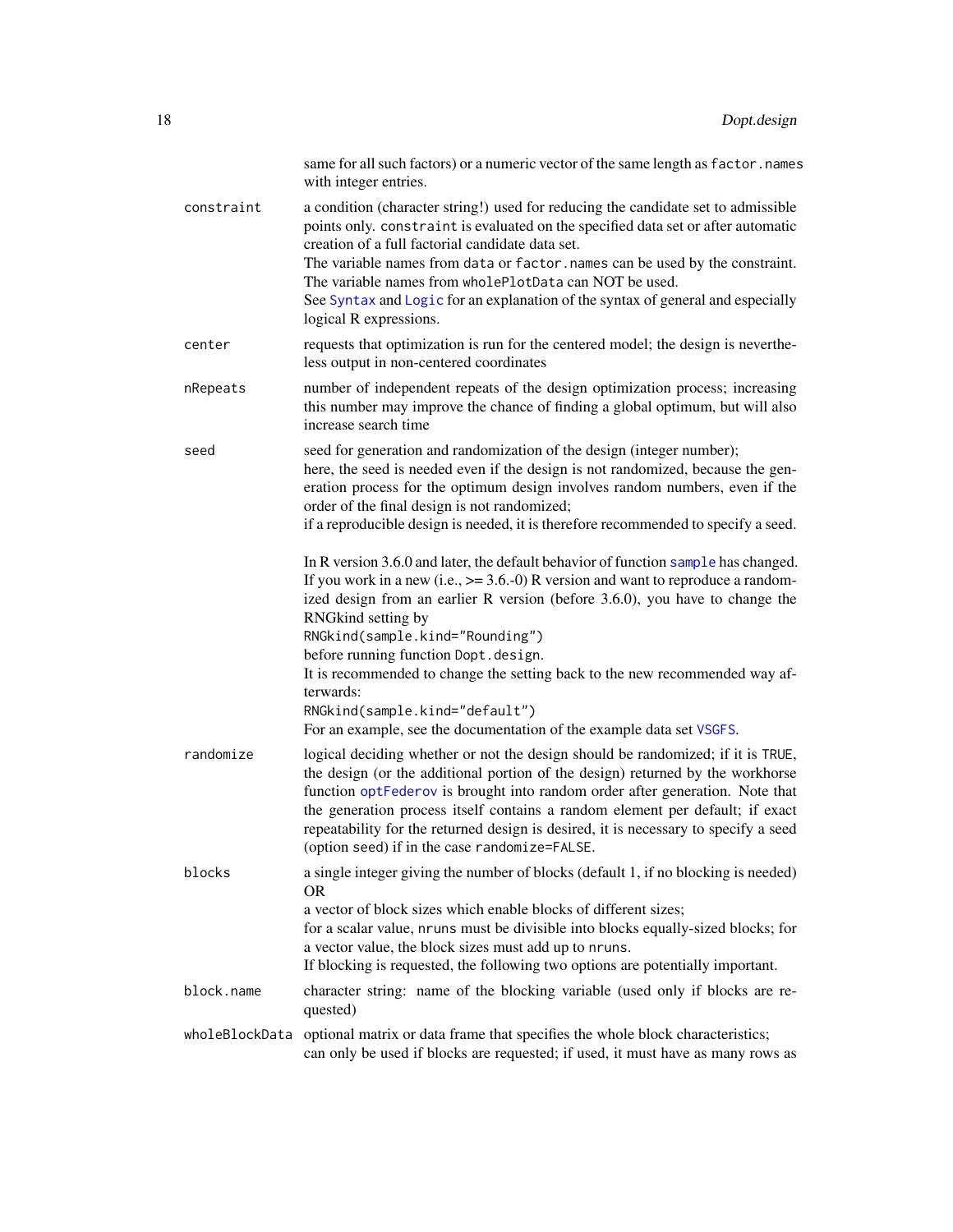<span id="page-17-0"></span>

| same for all such factors) or a numeric vector of the same length as factor.names<br>with integer entries.                                                                                                                                                                                                                                                                                                                                                                 |
|----------------------------------------------------------------------------------------------------------------------------------------------------------------------------------------------------------------------------------------------------------------------------------------------------------------------------------------------------------------------------------------------------------------------------------------------------------------------------|
| a condition (character string!) used for reducing the candidate set to admissible<br>points only. constraint is evaluated on the specified data set or after automatic<br>creation of a full factorial candidate data set.<br>The variable names from data or factor. names can be used by the constraint.                                                                                                                                                                 |
| The variable names from wholePlotData can NOT be used.<br>See Syntax and Logic for an explanation of the syntax of general and especially<br>logical R expressions.                                                                                                                                                                                                                                                                                                        |
| requests that optimization is run for the centered model; the design is neverthe-<br>less output in non-centered coordinates                                                                                                                                                                                                                                                                                                                                               |
| number of independent repeats of the design optimization process; increasing<br>this number may improve the chance of finding a global optimum, but will also<br>increase search time                                                                                                                                                                                                                                                                                      |
| seed for generation and randomization of the design (integer number);<br>here, the seed is needed even if the design is not randomized, because the gen-<br>eration process for the optimum design involves random numbers, even if the<br>order of the final design is not randomized;                                                                                                                                                                                    |
| if a reproducible design is needed, it is therefore recommended to specify a seed.                                                                                                                                                                                                                                                                                                                                                                                         |
| In R version 3.6.0 and later, the default behavior of function sample has changed.<br>If you work in a new (i.e., $\ge$ = 3.6.-0) R version and want to reproduce a random-<br>ized design from an earlier R version (before 3.6.0), you have to change the<br>RNGkind setting by                                                                                                                                                                                          |
| RNGkind(sample.kind="Rounding")<br>before running function Dopt.design.<br>It is recommended to change the setting back to the new recommended way af-<br>terwards:<br>RNGkind(sample.kind="default")<br>For an example, see the documentation of the example data set VSGFS.                                                                                                                                                                                              |
| logical deciding whether or not the design should be randomized; if it is TRUE,<br>the design (or the additional portion of the design) returned by the workhorse<br>function optFederov is brought into random order after generation. Note that<br>the generation process itself contains a random element per default; if exact<br>repeatability for the returned design is desired, it is necessary to specify a seed<br>(option seed) if in the case randomize=FALSE. |
| a single integer giving the number of blocks (default 1, if no blocking is needed)<br>OR.                                                                                                                                                                                                                                                                                                                                                                                  |
| a vector of block sizes which enable blocks of different sizes;<br>for a scalar value, nruns must be divisible into blocks equally-sized blocks; for<br>a vector value, the block sizes must add up to nruns.<br>If blocking is requested, the following two options are potentially important.                                                                                                                                                                            |
| character string: name of the blocking variable (used only if blocks are re-<br>quested)                                                                                                                                                                                                                                                                                                                                                                                   |
| optional matrix or data frame that specifies the whole block characteristics;<br>can only be used if blocks are requested; if used, it must have as many rows as                                                                                                                                                                                                                                                                                                           |
|                                                                                                                                                                                                                                                                                                                                                                                                                                                                            |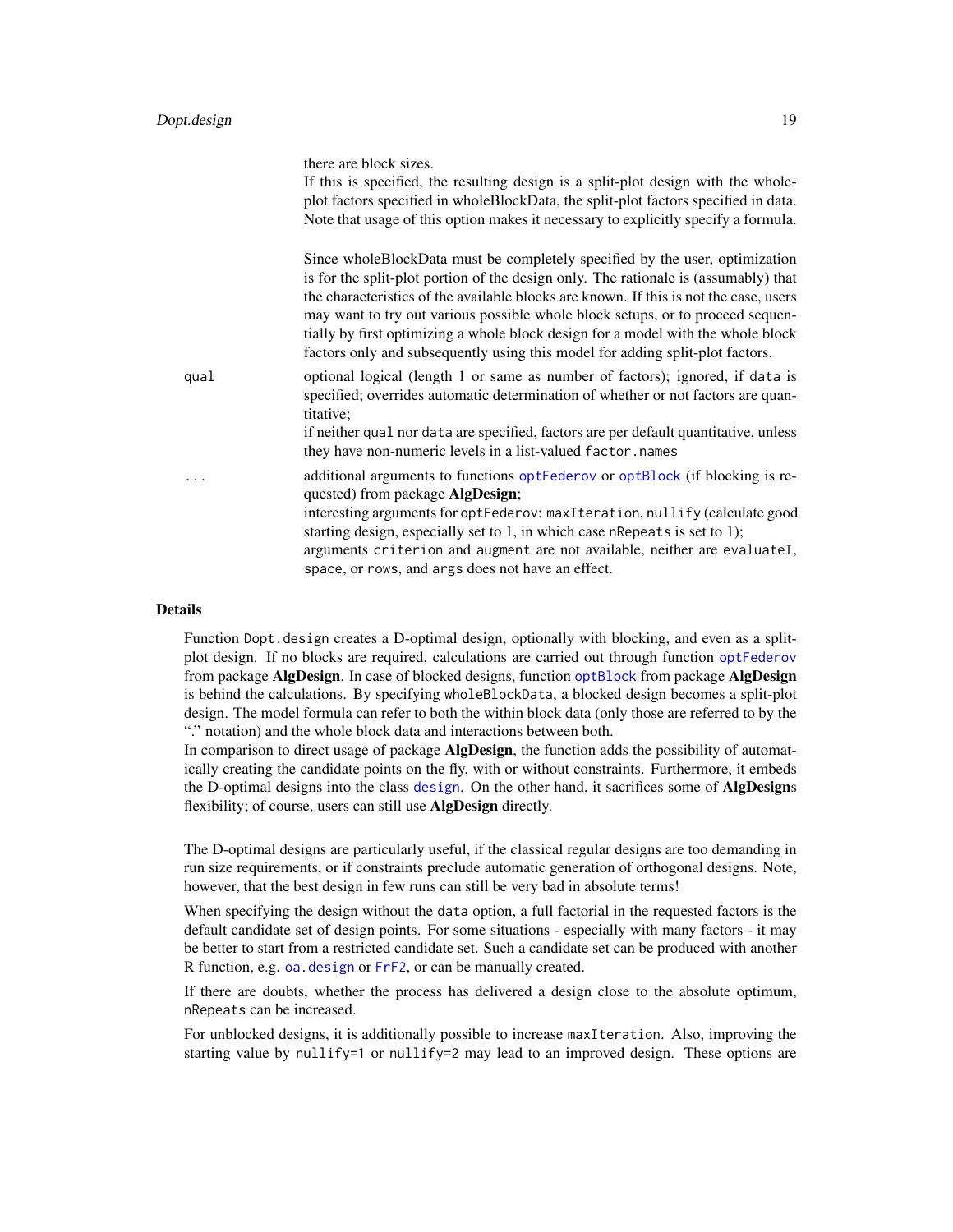<span id="page-18-0"></span>

|      | there are block sizes.<br>If this is specified, the resulting design is a split-plot design with the whole-<br>plot factors specified in wholeBlockData, the split-plot factors specified in data.<br>Note that usage of this option makes it necessary to explicitly specify a formula.                                                                                                                                                                                                                             |
|------|----------------------------------------------------------------------------------------------------------------------------------------------------------------------------------------------------------------------------------------------------------------------------------------------------------------------------------------------------------------------------------------------------------------------------------------------------------------------------------------------------------------------|
|      | Since whole Block Data must be completely specified by the user, optimization<br>is for the split-plot portion of the design only. The rationale is (assumably) that<br>the characteristics of the available blocks are known. If this is not the case, users<br>may want to try out various possible whole block setups, or to proceed sequen-<br>tially by first optimizing a whole block design for a model with the whole block<br>factors only and subsequently using this model for adding split-plot factors. |
| qual | optional logical (length 1 or same as number of factors); ignored, if data is<br>specified; overrides automatic determination of whether or not factors are quan-<br>titative;<br>if neither qual nor data are specified, factors are per default quantitative, unless<br>they have non-numeric levels in a list-valued factor.names                                                                                                                                                                                 |
|      | additional arguments to functions optFederov or optBlock (if blocking is re-<br>quested) from package <b>AlgDesign</b> ;<br>interesting arguments for optFederov: maxIteration, nullify (calculate good<br>starting design, especially set to 1, in which case nRepeats is set to 1);<br>arguments criterion and augment are not available, neither are evaluateI,<br>space, or rows, and args does not have an effect.                                                                                              |

#### Details

Function Dopt.design creates a D-optimal design, optionally with blocking, and even as a splitplot design. If no blocks are required, calculations are carried out through function [optFederov](#page-0-0) from package AlgDesign. In case of blocked designs, function [optBlock](#page-0-0) from package AlgDesign is behind the calculations. By specifying wholeBlockData, a blocked design becomes a split-plot design. The model formula can refer to both the within block data (only those are referred to by the "." notation) and the whole block data and interactions between both.

In comparison to direct usage of package **AlgDesign**, the function adds the possibility of automatically creating the candidate points on the fly, with or without constraints. Furthermore, it embeds the D-optimal [design](#page-0-0)s into the class design. On the other hand, it sacrifices some of AlgDesigns flexibility; of course, users can still use **AlgDesign** directly.

The D-optimal designs are particularly useful, if the classical regular designs are too demanding in run size requirements, or if constraints preclude automatic generation of orthogonal designs. Note, however, that the best design in few runs can still be very bad in absolute terms!

When specifying the design without the data option, a full factorial in the requested factors is the default candidate set of design points. For some situations - especially with many factors - it may be better to start from a restricted candidate set. Such a candidate set can be produced with another R function, e.g. [oa.design](#page-0-0) or [FrF2](#page-0-0), or can be manually created.

If there are doubts, whether the process has delivered a design close to the absolute optimum, nRepeats can be increased.

For unblocked designs, it is additionally possible to increase maxIteration. Also, improving the starting value by nullify=1 or nullify=2 may lead to an improved design. These options are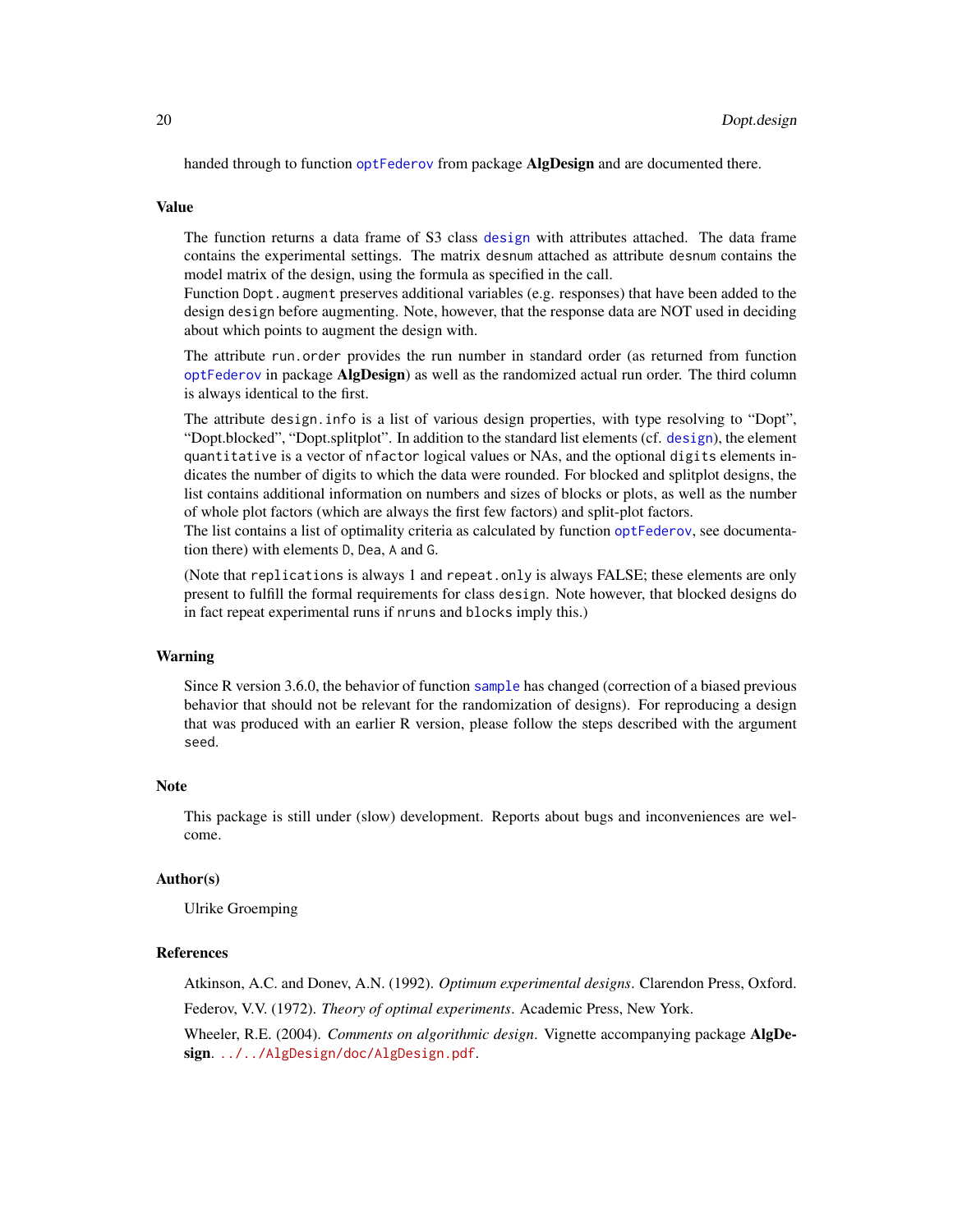<span id="page-19-0"></span>handed through to function [optFederov](#page-0-0) from package **AlgDesign** and are documented there.

#### Value

The function returns a data frame of S3 class [design](#page-0-0) with attributes attached. The data frame contains the experimental settings. The matrix desnum attached as attribute desnum contains the model matrix of the design, using the formula as specified in the call.

Function Dopt.augment preserves additional variables (e.g. responses) that have been added to the design design before augmenting. Note, however, that the response data are NOT used in deciding about which points to augment the design with.

The attribute run.order provides the run number in standard order (as returned from function [optFederov](#page-0-0) in package AlgDesign) as well as the randomized actual run order. The third column is always identical to the first.

The attribute design.info is a list of various design properties, with type resolving to "Dopt", "Dopt.blocked", "Dopt.splitplot". In addition to the standard list elements (cf. [design](#page-0-0)), the element quantitative is a vector of nfactor logical values or NAs, and the optional digits elements indicates the number of digits to which the data were rounded. For blocked and splitplot designs, the list contains additional information on numbers and sizes of blocks or plots, as well as the number of whole plot factors (which are always the first few factors) and split-plot factors.

The list contains a list of optimality criteria as calculated by function [optFederov](#page-0-0), see documentation there) with elements D, Dea, A and G.

(Note that replications is always 1 and repeat.only is always FALSE; these elements are only present to fulfill the formal requirements for class design. Note however, that blocked designs do in fact repeat experimental runs if nruns and blocks imply this.)

#### Warning

Since R version 3.6.0, the behavior of function [sample](#page-0-0) has changed (correction of a biased previous behavior that should not be relevant for the randomization of designs). For reproducing a design that was produced with an earlier R version, please follow the steps described with the argument seed.

#### Note

This package is still under (slow) development. Reports about bugs and inconveniences are welcome.

#### Author(s)

Ulrike Groemping

#### References

Atkinson, A.C. and Donev, A.N. (1992). *Optimum experimental designs*. Clarendon Press, Oxford. Federov, V.V. (1972). *Theory of optimal experiments*. Academic Press, New York.

Wheeler, R.E. (2004). *Comments on algorithmic design*. Vignette accompanying package AlgDe-sign. <../../AlgDesign/doc/AlgDesign.pdf>.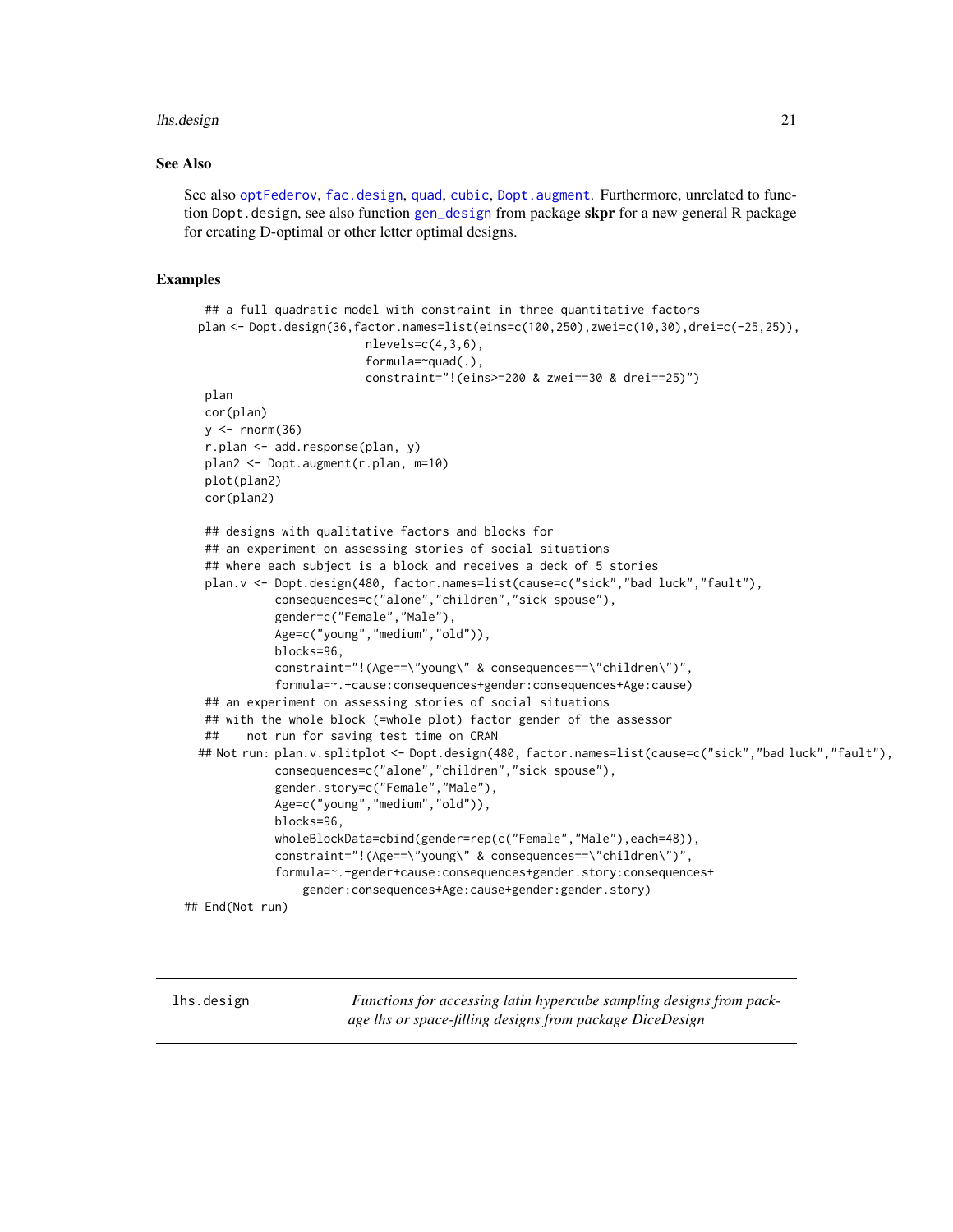#### <span id="page-20-0"></span>lhs.design 21

#### See Also

See also [optFederov](#page-0-0), [fac.design](#page-0-0), [quad](#page-0-0), [cubic](#page-0-0), [Dopt.augment](#page-12-1). Furthermore, unrelated to function Dopt. design, see also function [gen\\_design](#page-0-0) from package skpr for a new general R package for creating D-optimal or other letter optimal designs.

#### Examples

```
## a full quadratic model with constraint in three quantitative factors
 plan <- Dopt.design(36,factor.names=list(eins=c(100,250),zwei=c(10,30),drei=c(-25,25)),
                         nlevels=c(4,3,6),
                          formula=~quad(.),
                          constraint="!(eins>=200 & zwei==30 & drei==25)")
  plan
  cor(plan)
  y \le - rnorm(36)r.plan <- add.response(plan, y)
  plan2 <- Dopt.augment(r.plan, m=10)
  plot(plan2)
  cor(plan2)
  ## designs with qualitative factors and blocks for
  ## an experiment on assessing stories of social situations
  ## where each subject is a block and receives a deck of 5 stories
  plan.v <- Dopt.design(480, factor.names=list(cause=c("sick","bad luck","fault"),
            consequences=c("alone","children","sick spouse"),
            gender=c("Female","Male"),
            Age=c("young","medium","old")),
            blocks=96,
            constraint="!(Age==\"young\" & consequences==\"children\")",
            formula=~.+cause:consequences+gender:consequences+Age:cause)
  ## an experiment on assessing stories of social situations
  ## with the whole block (=whole plot) factor gender of the assessor
  ## not run for saving test time on CRAN
 ## Not run: plan.v.splitplot <- Dopt.design(480, factor.names=list(cause=c("sick","bad luck","fault"),
            consequences=c("alone","children","sick spouse"),
            gender.story=c("Female","Male"),
            Age=c("young","medium","old")),
            blocks=96,
            wholeBlockData=cbind(gender=rep(c("Female","Male"),each=48)),
            constraint="!(Age==\"young\" & consequences==\"children\")",
            formula=~.+gender+cause:consequences+gender.story:consequences+
                gender:consequences+Age:cause+gender:gender.story)
## End(Not run)
```
<span id="page-20-1"></span>lhs.design *Functions for accessing latin hypercube sampling designs from package lhs or space-filling designs from package DiceDesign*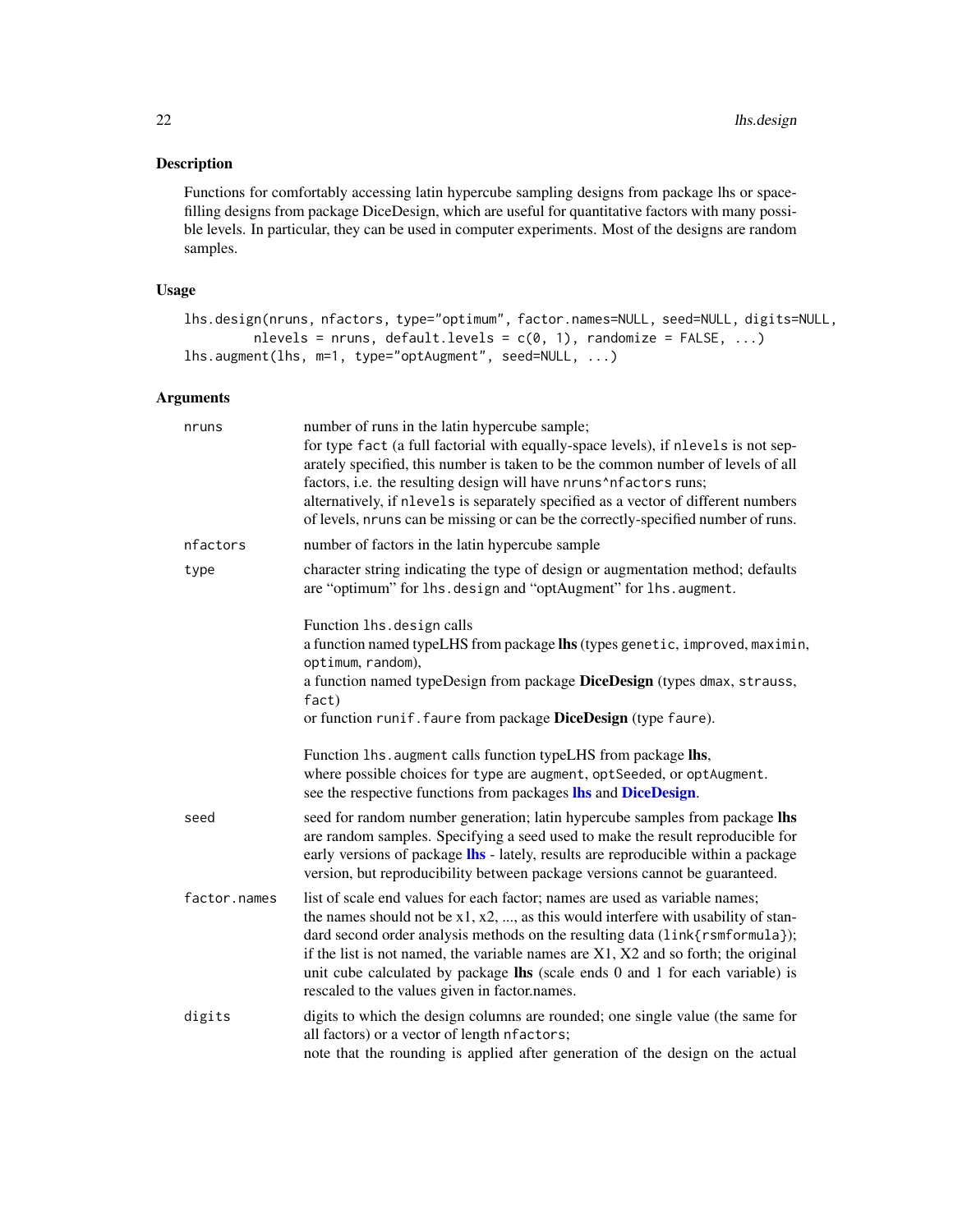#### <span id="page-21-0"></span>Description

Functions for comfortably accessing latin hypercube sampling designs from package lhs or spacefilling designs from package DiceDesign, which are useful for quantitative factors with many possible levels. In particular, they can be used in computer experiments. Most of the designs are random samples.

# Usage

```
lhs.design(nruns, nfactors, type="optimum", factor.names=NULL, seed=NULL, digits=NULL,
         nlevels = nruns, default.levels = c(0, 1), randomize = FALSE, ...)
lhs.augment(lhs, m=1, type="optAugment", seed=NULL, ...)
```
# Arguments

| nruns        | number of runs in the latin hypercube sample;<br>for type fact (a full factorial with equally-space levels), if nlevels is not sep-<br>arately specified, this number is taken to be the common number of levels of all<br>factors, i.e. the resulting design will have nruns^nfactors runs;<br>alternatively, if nlevels is separately specified as a vector of different numbers<br>of levels, nruns can be missing or can be the correctly-specified number of runs.                         |
|--------------|-------------------------------------------------------------------------------------------------------------------------------------------------------------------------------------------------------------------------------------------------------------------------------------------------------------------------------------------------------------------------------------------------------------------------------------------------------------------------------------------------|
| nfactors     | number of factors in the latin hypercube sample                                                                                                                                                                                                                                                                                                                                                                                                                                                 |
| type         | character string indicating the type of design or augmentation method; defaults<br>are "optimum" for lhs.design and "optAugment" for lhs.augment.                                                                                                                                                                                                                                                                                                                                               |
|              | Function lhs.design calls<br>a function named typeLHS from package lhs (types genetic, improved, maximin,<br>optimum, random),<br>a function named typeDesign from package DiceDesign (types dmax, strauss,<br>fact)<br>or function runif. faure from package DiceDesign (type faure).                                                                                                                                                                                                          |
|              | Function 1hs. augment calls function typeLHS from package lhs,<br>where possible choices for type are augment, optSeeded, or optAugment.<br>see the respective functions from packages lhs and DiceDesign.                                                                                                                                                                                                                                                                                      |
| seed         | seed for random number generation; latin hypercube samples from package lhs<br>are random samples. Specifying a seed used to make the result reproducible for<br>early versions of package <b>lhs</b> - lately, results are reproducible within a package<br>version, but reproducibility between package versions cannot be guaranteed.                                                                                                                                                        |
| factor.names | list of scale end values for each factor; names are used as variable names;<br>the names should not be $x1, x2, \ldots$ , as this would interfere with usability of stan-<br>dard second order analysis methods on the resulting data (link{rsmformula});<br>if the list is not named, the variable names are $X1$ , $X2$ and so forth; the original<br>unit cube calculated by package $\text{Ins}$ (scale ends 0 and 1 for each variable) is<br>rescaled to the values given in factor.names. |
| digits       | digits to which the design columns are rounded; one single value (the same for<br>all factors) or a vector of length nfactors;<br>note that the rounding is applied after generation of the design on the actual                                                                                                                                                                                                                                                                                |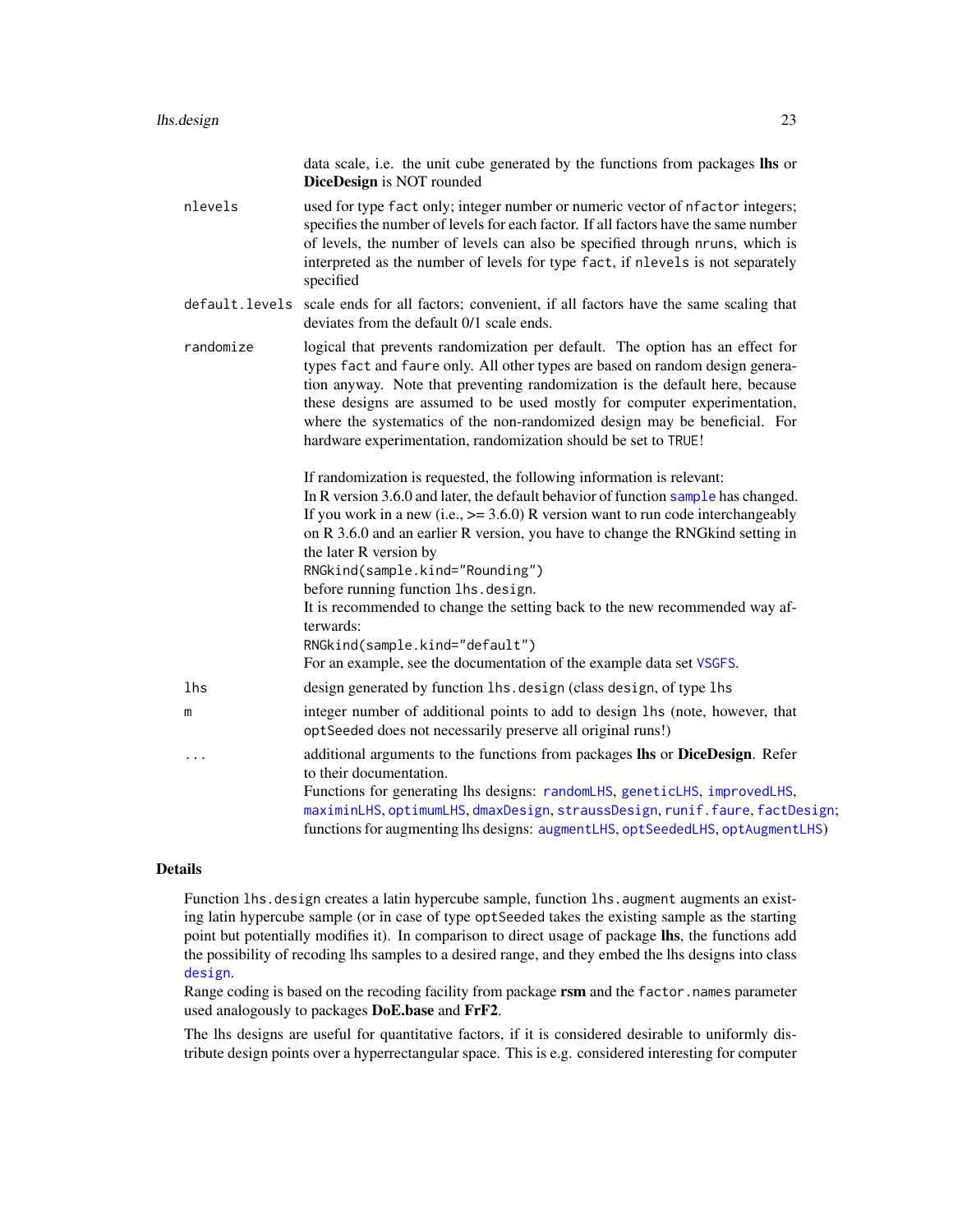<span id="page-22-0"></span>

|           | data scale, i.e. the unit cube generated by the functions from packages lhs or<br>DiceDesign is NOT rounded                                                                                                                                                                                                                                                                                                                                                                                                                                                                                                                                      |
|-----------|--------------------------------------------------------------------------------------------------------------------------------------------------------------------------------------------------------------------------------------------------------------------------------------------------------------------------------------------------------------------------------------------------------------------------------------------------------------------------------------------------------------------------------------------------------------------------------------------------------------------------------------------------|
| nlevels   | used for type fact only; integer number or numeric vector of nfactor integers;<br>specifies the number of levels for each factor. If all factors have the same number<br>of levels, the number of levels can also be specified through nruns, which is<br>interpreted as the number of levels for type fact, if nlevels is not separately<br>specified                                                                                                                                                                                                                                                                                           |
|           | default. levels scale ends for all factors; convenient, if all factors have the same scaling that<br>deviates from the default 0/1 scale ends.                                                                                                                                                                                                                                                                                                                                                                                                                                                                                                   |
| randomize | logical that prevents randomization per default. The option has an effect for<br>types fact and faure only. All other types are based on random design genera-<br>tion anyway. Note that preventing randomization is the default here, because<br>these designs are assumed to be used mostly for computer experimentation,<br>where the systematics of the non-randomized design may be beneficial. For<br>hardware experimentation, randomization should be set to TRUE!                                                                                                                                                                       |
|           | If randomization is requested, the following information is relevant:<br>In R version 3.6.0 and later, the default behavior of function sample has changed.<br>If you work in a new (i.e., $\ge$ = 3.6.0) R version want to run code interchangeably<br>on R 3.6.0 and an earlier R version, you have to change the RNGkind setting in<br>the later R version by<br>RNGkind(sample.kind="Rounding")<br>before running function lhs.design.<br>It is recommended to change the setting back to the new recommended way af-<br>terwards:<br>RNGkind(sample.kind="default")<br>For an example, see the documentation of the example data set VSGFS. |
| lhs       | design generated by function lhs. design (class design, of type lhs                                                                                                                                                                                                                                                                                                                                                                                                                                                                                                                                                                              |
| m         | integer number of additional points to add to design lhs (note, however, that<br>optSeeded does not necessarily preserve all original runs!)                                                                                                                                                                                                                                                                                                                                                                                                                                                                                                     |
| .         | additional arguments to the functions from packages lhs or DiceDesign. Refer<br>to their documentation.<br>Functions for generating lhs designs: randomLHS, geneticLHS, improvedLHS,<br>maximinLHS, optimumLHS, dmaxDesign, straussDesign, runif.faure, factDesign;<br>functions for augmenting lhs designs: augmentLHS, optSeededLHS, optAugmentLHS)                                                                                                                                                                                                                                                                                            |

#### Details

Function lhs.design creates a latin hypercube sample, function lhs.augment augments an existing latin hypercube sample (or in case of type optSeeded takes the existing sample as the starting point but potentially modifies it). In comparison to direct usage of package lhs, the functions add the possibility of recoding lhs samples to a desired range, and they embed the lhs designs into class [design](#page-0-0).

Range coding is based on the recoding facility from package rsm and the factor.names parameter used analogously to packages DoE.base and FrF2.

The lhs designs are useful for quantitative factors, if it is considered desirable to uniformly distribute design points over a hyperrectangular space. This is e.g. considered interesting for computer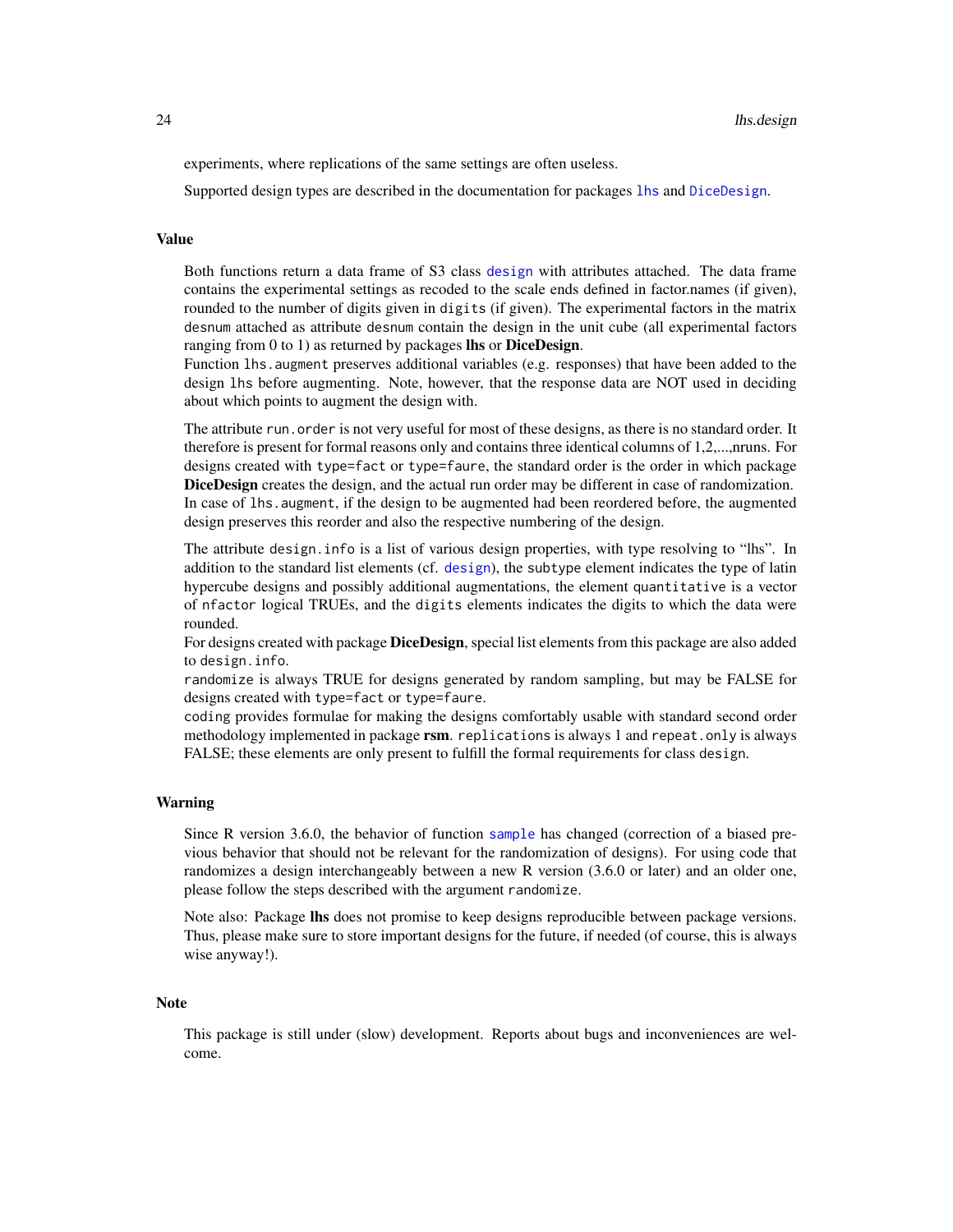<span id="page-23-0"></span>experiments, where replications of the same settings are often useless.

Supported design types are described in the documentation for packages [lhs](#page-0-0) and [DiceDesign](#page-0-0).

#### Value

Both functions return a data frame of S3 class [design](#page-0-0) with attributes attached. The data frame contains the experimental settings as recoded to the scale ends defined in factor.names (if given), rounded to the number of digits given in digits (if given). The experimental factors in the matrix desnum attached as attribute desnum contain the design in the unit cube (all experimental factors ranging from 0 to 1) as returned by packages lhs or DiceDesign.

Function lhs.augment preserves additional variables (e.g. responses) that have been added to the design lhs before augmenting. Note, however, that the response data are NOT used in deciding about which points to augment the design with.

The attribute run. order is not very useful for most of these designs, as there is no standard order. It therefore is present for formal reasons only and contains three identical columns of 1,2,...,nruns. For designs created with type=fact or type=faure, the standard order is the order in which package DiceDesign creates the design, and the actual run order may be different in case of randomization. In case of lhs. augment, if the design to be augmented had been reordered before, the augmented design preserves this reorder and also the respective numbering of the design.

The attribute design.info is a list of various design properties, with type resolving to "lhs". In addition to the standard list elements (cf. [design](#page-0-0)), the subtype element indicates the type of latin hypercube designs and possibly additional augmentations, the element quantitative is a vector of nfactor logical TRUEs, and the digits elements indicates the digits to which the data were rounded.

For designs created with package DiceDesign, special list elements from this package are also added to design.info.

randomize is always TRUE for designs generated by random sampling, but may be FALSE for designs created with type=fact or type=faure.

coding provides formulae for making the designs comfortably usable with standard second order methodology implemented in package rsm. replications is always 1 and repeat. only is always FALSE; these elements are only present to fulfill the formal requirements for class design.

#### Warning

Since R version 3.6.0, the behavior of function [sample](#page-0-0) has changed (correction of a biased previous behavior that should not be relevant for the randomization of designs). For using code that randomizes a design interchangeably between a new R version (3.6.0 or later) and an older one, please follow the steps described with the argument randomize.

Note also: Package lhs does not promise to keep designs reproducible between package versions. Thus, please make sure to store important designs for the future, if needed (of course, this is always wise anyway!).

#### **Note**

This package is still under (slow) development. Reports about bugs and inconveniences are welcome.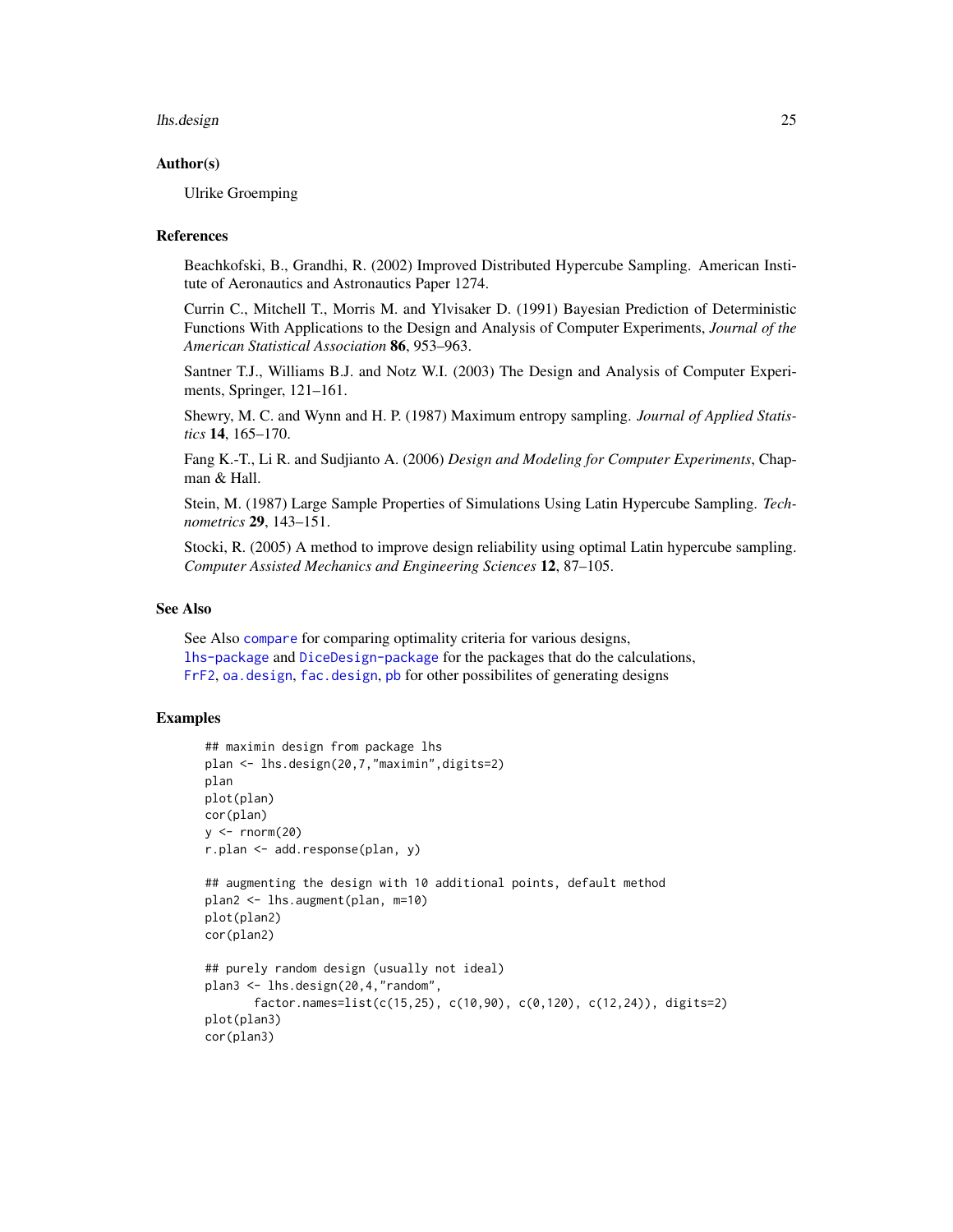#### <span id="page-24-0"></span>lhs.design 25

#### Author(s)

Ulrike Groemping

#### **References**

Beachkofski, B., Grandhi, R. (2002) Improved Distributed Hypercube Sampling. American Institute of Aeronautics and Astronautics Paper 1274.

Currin C., Mitchell T., Morris M. and Ylvisaker D. (1991) Bayesian Prediction of Deterministic Functions With Applications to the Design and Analysis of Computer Experiments, *Journal of the American Statistical Association* 86, 953–963.

Santner T.J., Williams B.J. and Notz W.I. (2003) The Design and Analysis of Computer Experiments, Springer, 121–161.

Shewry, M. C. and Wynn and H. P. (1987) Maximum entropy sampling. *Journal of Applied Statistics* 14, 165–170.

Fang K.-T., Li R. and Sudjianto A. (2006) *Design and Modeling for Computer Experiments*, Chapman & Hall.

Stein, M. (1987) Large Sample Properties of Simulations Using Latin Hypercube Sampling. *Technometrics* 29, 143–151.

Stocki, R. (2005) A method to improve design reliability using optimal Latin hypercube sampling. *Computer Assisted Mechanics and Engineering Sciences* 12, 87–105.

#### See Also

See Also [compare](#page-26-1) for comparing optimality criteria for various designs, [lhs-package](#page-0-0) and [DiceDesign-package](#page-0-0) for the packages that do the calculations, [FrF2](#page-0-0), [oa.design](#page-0-0), [fac.design](#page-0-0), [pb](#page-0-0) for other possibilites of generating designs

#### Examples

```
## maximin design from package lhs
plan <- lhs.design(20,7,"maximin",digits=2)
plan
plot(plan)
cor(plan)
y \le - rnorm(20)r.plan <- add.response(plan, y)
## augmenting the design with 10 additional points, default method
plan2 <- lhs.augment(plan, m=10)
plot(plan2)
cor(plan2)
## purely random design (usually not ideal)
plan3 <- lhs.design(20,4,"random",
       factor.names=list(c(15,25), c(10,90), c(0,120), c(12,24)), digits=2)
plot(plan3)
cor(plan3)
```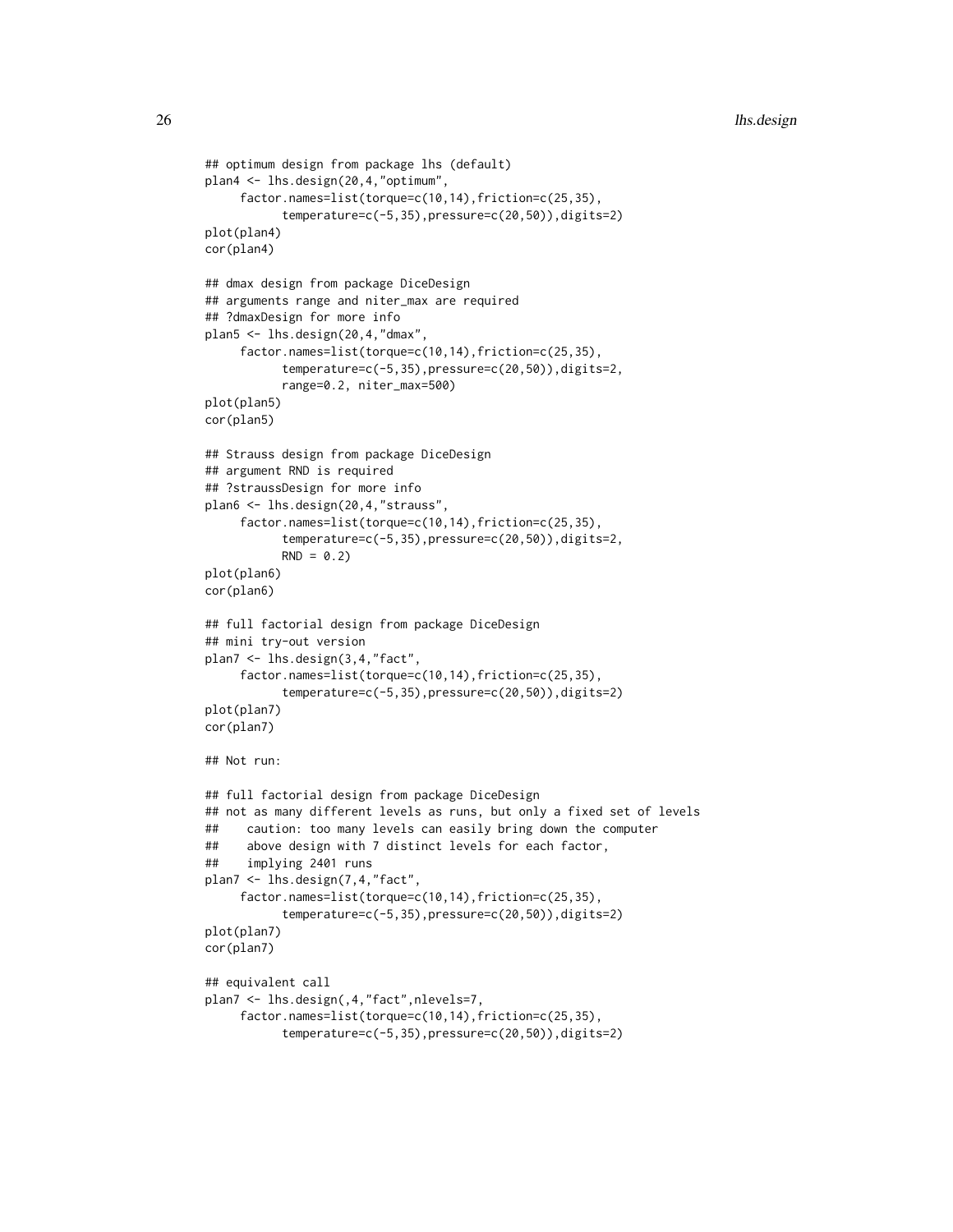```
## optimum design from package lhs (default)
plan4 <- lhs.design(20,4,"optimum",
     factor.names=list(torque=c(10,14),friction=c(25,35),
           temperature=c(-5,35),pressure=c(20,50)),digits=2)
plot(plan4)
cor(plan4)
## dmax design from package DiceDesign
## arguments range and niter_max are required
## ?dmaxDesign for more info
plan5 <- lhs.design(20,4,"dmax",
     factor.names=list(torque=c(10,14),friction=c(25,35),
           temperature=c(-5,35),pressure=c(20,50)),digits=2,
           range=0.2, niter_max=500)
plot(plan5)
cor(plan5)
## Strauss design from package DiceDesign
## argument RND is required
## ?straussDesign for more info
plan6 <- lhs.design(20,4,"strauss",
     factor.names=list(torque=c(10,14),friction=c(25,35),
           temperature=c(-5,35),pressure=c(20,50)),digits=2,
           RND = 0.2plot(plan6)
cor(plan6)
## full factorial design from package DiceDesign
## mini try-out version
plan7 <- lhs.design(3,4,"fact",
     factor.names=list(torque=c(10,14),friction=c(25,35),
           temperature=c(-5,35),pressure=c(20,50)),digits=2)
plot(plan7)
cor(plan7)
## Not run:
## full factorial design from package DiceDesign
## not as many different levels as runs, but only a fixed set of levels
## caution: too many levels can easily bring down the computer
## above design with 7 distinct levels for each factor,
## implying 2401 runs
plan7 <- lhs.design(7,4,"fact",
     factor.names=list(torque=c(10,14),friction=c(25,35),
           temperature=c(-5,35),pressure=c(20,50)),digits=2)
plot(plan7)
cor(plan7)
## equivalent call
plan7 <- lhs.design(,4,"fact",nlevels=7,
     factor.names=list(torque=c(10,14),friction=c(25,35),
           temperature=c(-5,35),pressure=c(20,50)),digits=2)
```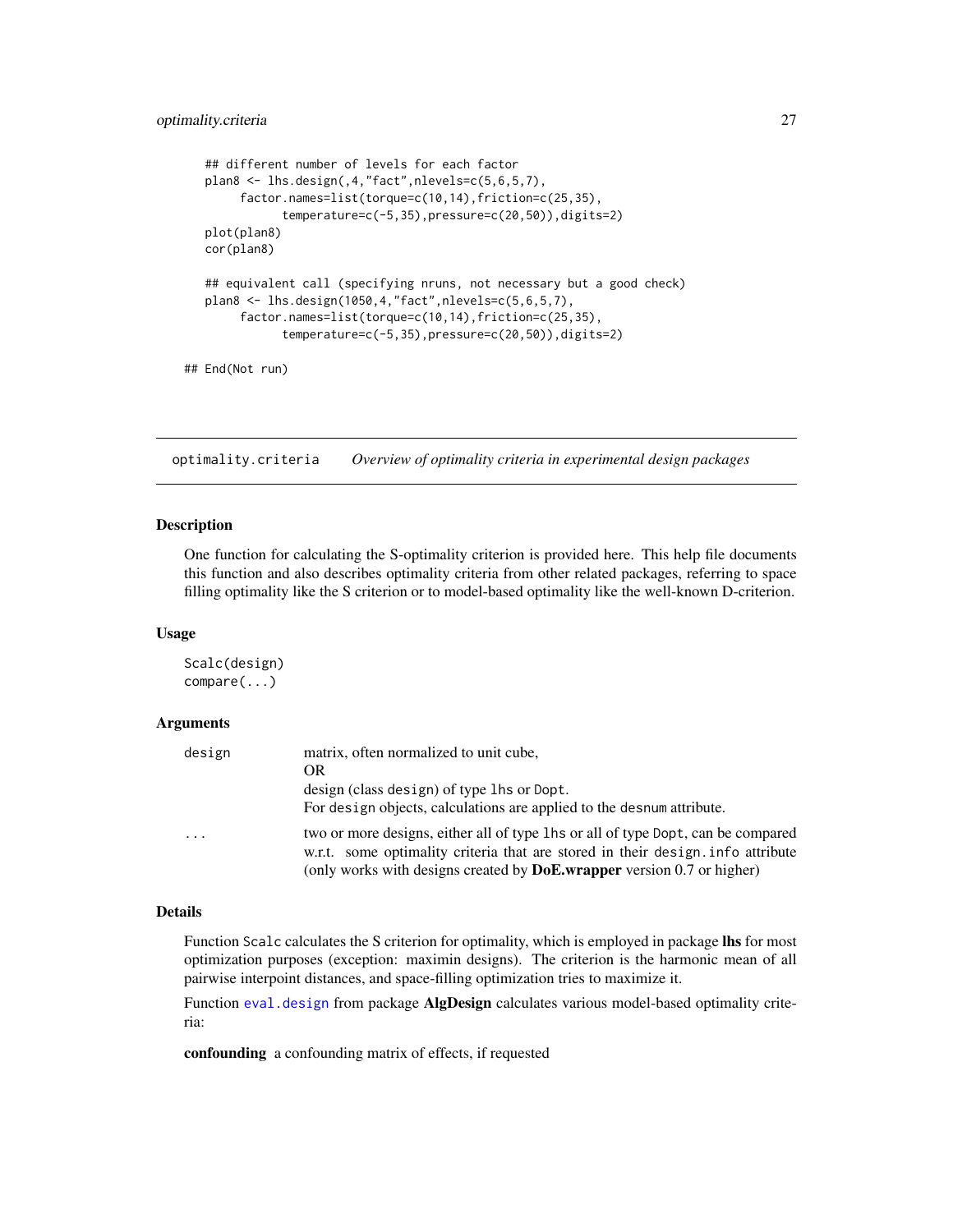```
## different number of levels for each factor
plan8 <- lhs.design(,4,"fact",nlevels=c(5,6,5,7),
     factor.names=list(torque=c(10,14),friction=c(25,35),
           temperature=c(-5,35),pressure=c(20,50)),digits=2)
plot(plan8)
cor(plan8)
## equivalent call (specifying nruns, not necessary but a good check)
plan8 <- lhs.design(1050,4,"fact",nlevels=c(5,6,5,7),
     factor.names=list(torque=c(10,14),friction=c(25,35),
           temperature=c(-5,35),pressure=c(20,50)),digits=2)
```

```
## End(Not run)
```
optimality.criteria *Overview of optimality criteria in experimental design packages*

#### <span id="page-26-1"></span>Description

One function for calculating the S-optimality criterion is provided here. This help file documents this function and also describes optimality criteria from other related packages, referring to space filling optimality like the S criterion or to model-based optimality like the well-known D-criterion.

#### Usage

Scalc(design) compare(...)

#### Arguments

| design   | matrix, often normalized to unit cube,                                                                                                                              |
|----------|---------------------------------------------------------------------------------------------------------------------------------------------------------------------|
|          | OR                                                                                                                                                                  |
|          | design (class design) of type lhs or Dopt.                                                                                                                          |
|          | For design objects, calculations are applied to the desnum attribute.                                                                                               |
| $\cdots$ | two or more designs, either all of type lhs or all of type Dopt, can be compared<br>w.r.t. some optimality criteria that are stored in their design. info attribute |
|          | (only works with designs created by <b>DoE.wrapper</b> version 0.7 or higher)                                                                                       |

#### Details

Function Scalc calculates the S criterion for optimality, which is employed in package lhs for most optimization purposes (exception: maximin designs). The criterion is the harmonic mean of all pairwise interpoint distances, and space-filling optimization tries to maximize it.

Function [eval.design](#page-0-0) from package AlgDesign calculates various model-based optimality criteria:

confounding a confounding matrix of effects, if requested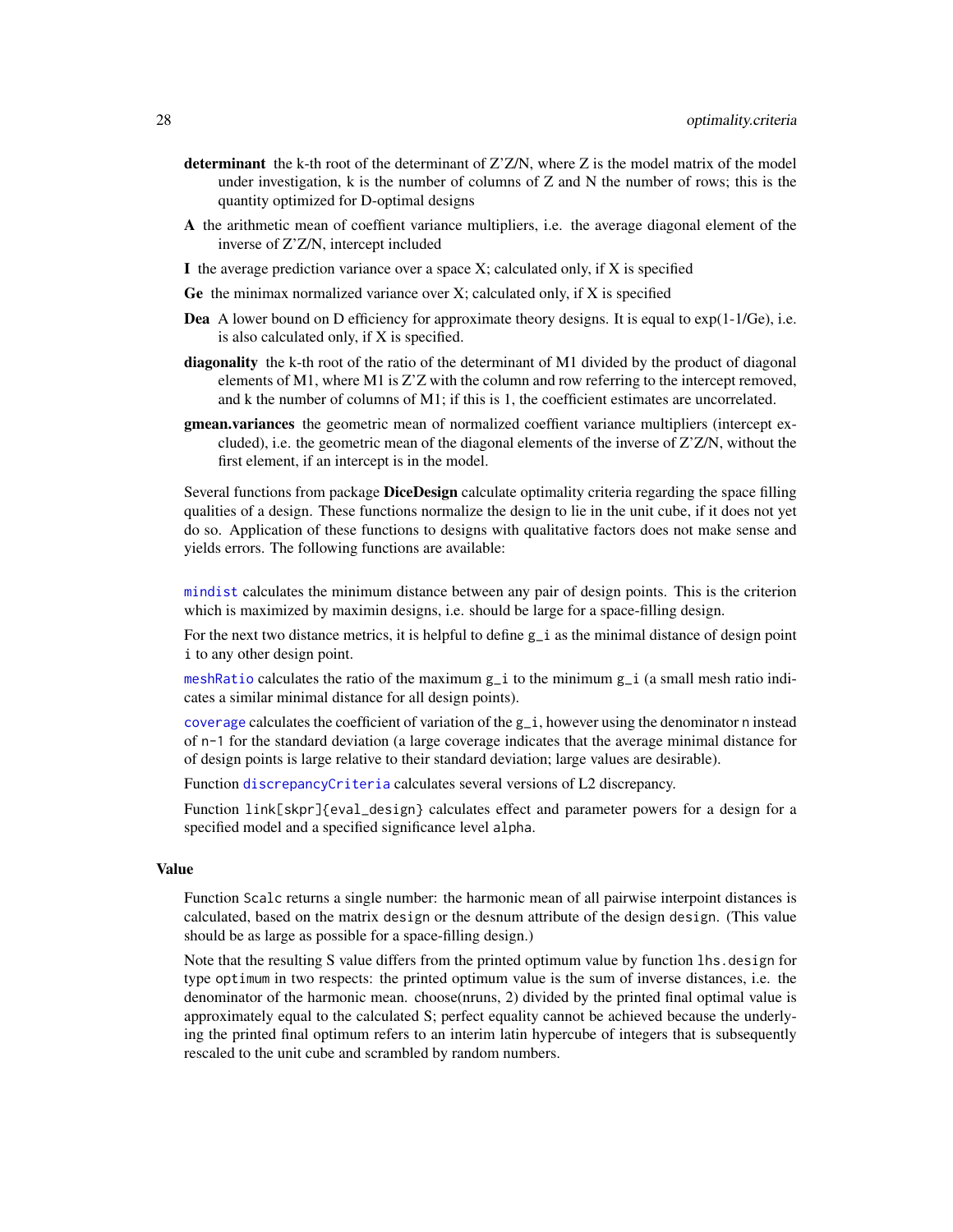- <span id="page-27-0"></span>determinant the k-th root of the determinant of  $Z^2Z/N$ , where Z is the model matrix of the model under investigation, k is the number of columns of Z and N the number of rows; this is the quantity optimized for D-optimal designs
- A the arithmetic mean of coeffient variance multipliers, i.e. the average diagonal element of the inverse of Z'Z/N, intercept included
- I the average prediction variance over a space  $X$ ; calculated only, if  $X$  is specified
- Ge the minimax normalized variance over  $X$ ; calculated only, if  $X$  is specified
- **Dea** A lower bound on D efficiency for approximate theory designs. It is equal to  $exp(1-1/\text{Ge})$ , i.e. is also calculated only, if X is specified.
- diagonality the k-th root of the ratio of the determinant of M1 divided by the product of diagonal elements of M1, where M1 is Z'Z with the column and row referring to the intercept removed, and k the number of columns of M1; if this is 1, the coefficient estimates are uncorrelated.
- gmean.variances the geometric mean of normalized coeffient variance multipliers (intercept excluded), i.e. the geometric mean of the diagonal elements of the inverse of Z'Z/N, without the first element, if an intercept is in the model.

Several functions from package **DiceDesign** calculate optimality criteria regarding the space filling qualities of a design. These functions normalize the design to lie in the unit cube, if it does not yet do so. Application of these functions to designs with qualitative factors does not make sense and yields errors. The following functions are available:

[mindist](#page-0-0) calculates the minimum distance between any pair of design points. This is the criterion which is maximized by maximin designs, i.e. should be large for a space-filling design.

For the next two distance metrics, it is helpful to define  $g_i$  as the minimal distance of design point i to any other design point.

[meshRatio](#page-0-0) calculates the ratio of the maximum g\_i to the minimum g\_i (a small mesh ratio indicates a similar minimal distance for all design points).

[coverage](#page-0-0) calculates the coefficient of variation of the  $g_i$ , however using the denominator n instead of n-1 for the standard deviation (a large coverage indicates that the average minimal distance for of design points is large relative to their standard deviation; large values are desirable).

Function [discrepancyCriteria](#page-0-0) calculates several versions of L2 discrepancy.

Function link[skpr]{eval\_design} calculates effect and parameter powers for a design for a specified model and a specified significance level alpha.

#### Value

Function Scalc returns a single number: the harmonic mean of all pairwise interpoint distances is calculated, based on the matrix design or the desnum attribute of the design design. (This value should be as large as possible for a space-filling design.)

Note that the resulting S value differs from the printed optimum value by function lhs.design for type optimum in two respects: the printed optimum value is the sum of inverse distances, i.e. the denominator of the harmonic mean. choose(nruns, 2) divided by the printed final optimal value is approximately equal to the calculated S; perfect equality cannot be achieved because the underlying the printed final optimum refers to an interim latin hypercube of integers that is subsequently rescaled to the unit cube and scrambled by random numbers.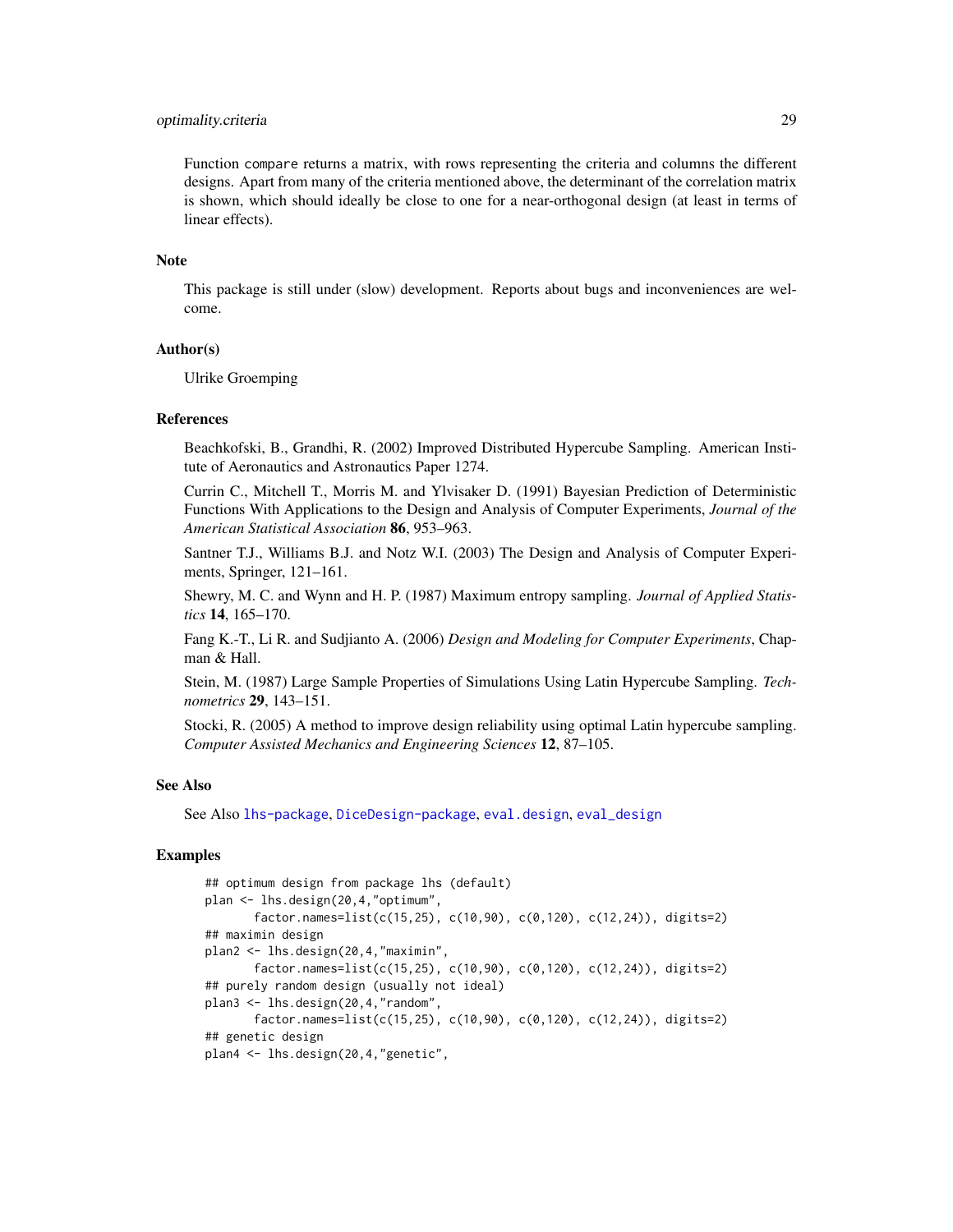#### <span id="page-28-0"></span>optimality.criteria 29

Function compare returns a matrix, with rows representing the criteria and columns the different designs. Apart from many of the criteria mentioned above, the determinant of the correlation matrix is shown, which should ideally be close to one for a near-orthogonal design (at least in terms of linear effects).

#### **Note**

This package is still under (slow) development. Reports about bugs and inconveniences are welcome.

#### Author(s)

Ulrike Groemping

#### References

Beachkofski, B., Grandhi, R. (2002) Improved Distributed Hypercube Sampling. American Institute of Aeronautics and Astronautics Paper 1274.

Currin C., Mitchell T., Morris M. and Ylvisaker D. (1991) Bayesian Prediction of Deterministic Functions With Applications to the Design and Analysis of Computer Experiments, *Journal of the American Statistical Association* 86, 953–963.

Santner T.J., Williams B.J. and Notz W.I. (2003) The Design and Analysis of Computer Experiments, Springer, 121–161.

Shewry, M. C. and Wynn and H. P. (1987) Maximum entropy sampling. *Journal of Applied Statistics* 14, 165–170.

Fang K.-T., Li R. and Sudjianto A. (2006) *Design and Modeling for Computer Experiments*, Chapman & Hall.

Stein, M. (1987) Large Sample Properties of Simulations Using Latin Hypercube Sampling. *Technometrics* 29, 143–151.

Stocki, R. (2005) A method to improve design reliability using optimal Latin hypercube sampling. *Computer Assisted Mechanics and Engineering Sciences* 12, 87–105.

#### See Also

See Also [lhs-package](#page-0-0), [DiceDesign-package](#page-0-0), [eval.design](#page-0-0), [eval\\_design](#page-0-0)

#### Examples

```
## optimum design from package lhs (default)
plan <- lhs.design(20,4,"optimum",
       factor.names=list(c(15,25), c(10,90), c(0,120), c(12,24)), digits=2)
## maximin design
plan2 <- lhs.design(20,4,"maximin",
      factor.names=list(c(15,25), c(10,90), c(0,120), c(12,24)), digits=2)
## purely random design (usually not ideal)
plan3 <- lhs.design(20,4,"random",
      factor.names=list(c(15,25), c(10,90), c(0,120), c(12,24)), digits=2)
## genetic design
plan4 <- lhs.design(20,4,"genetic",
```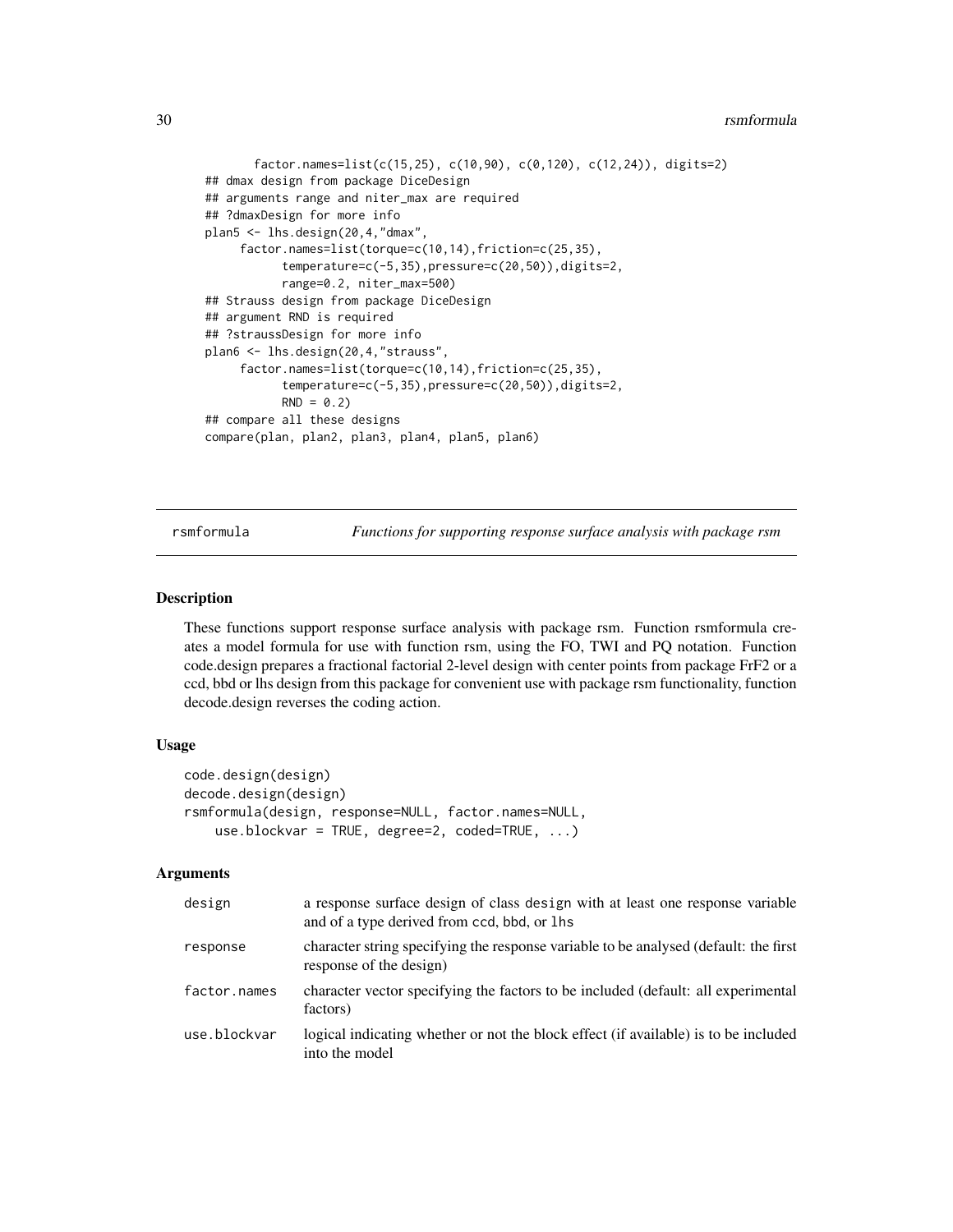#### <span id="page-29-0"></span>30 rsmformula

```
factor.names=list(c(15,25), c(10,90), c(0,120), c(12,24)), digits=2)
## dmax design from package DiceDesign
## arguments range and niter_max are required
## ?dmaxDesign for more info
plan5 <- lhs.design(20,4,"dmax",
     factor.names=list(torque=c(10,14),friction=c(25,35),
           temperature=c(-5,35),pressure=c(20,50)),digits=2,
           range=0.2, niter_max=500)
## Strauss design from package DiceDesign
## argument RND is required
## ?straussDesign for more info
plan6 <- lhs.design(20,4,"strauss",
     factor.names=list(torque=c(10,14),friction=c(25,35),
           temperature=c(-5,35),pressure=c(20,50)),digits=2,
           RND = 0.2## compare all these designs
compare(plan, plan2, plan3, plan4, plan5, plan6)
```
rsmformula *Functions for supporting response surface analysis with package rsm*

#### **Description**

These functions support response surface analysis with package rsm. Function rsmformula creates a model formula for use with function rsm, using the FO, TWI and PQ notation. Function code.design prepares a fractional factorial 2-level design with center points from package FrF2 or a ccd, bbd or lhs design from this package for convenient use with package rsm functionality, function decode.design reverses the coding action.

#### Usage

```
code.design(design)
decode.design(design)
rsmformula(design, response=NULL, factor.names=NULL,
    use.blockvar = TRUE, degree=2, coded=TRUE, ...)
```
#### Arguments

| design       | a response surface design of class design with at least one response variable<br>and of a type derived from ccd, bbd, or lhs |
|--------------|------------------------------------------------------------------------------------------------------------------------------|
| response     | character string specifying the response variable to be analysed (default: the first<br>response of the design)              |
| factor.names | character vector specifying the factors to be included (default: all experimental<br>factors)                                |
| use.blockvar | logical indicating whether or not the block effect (if available) is to be included<br>into the model                        |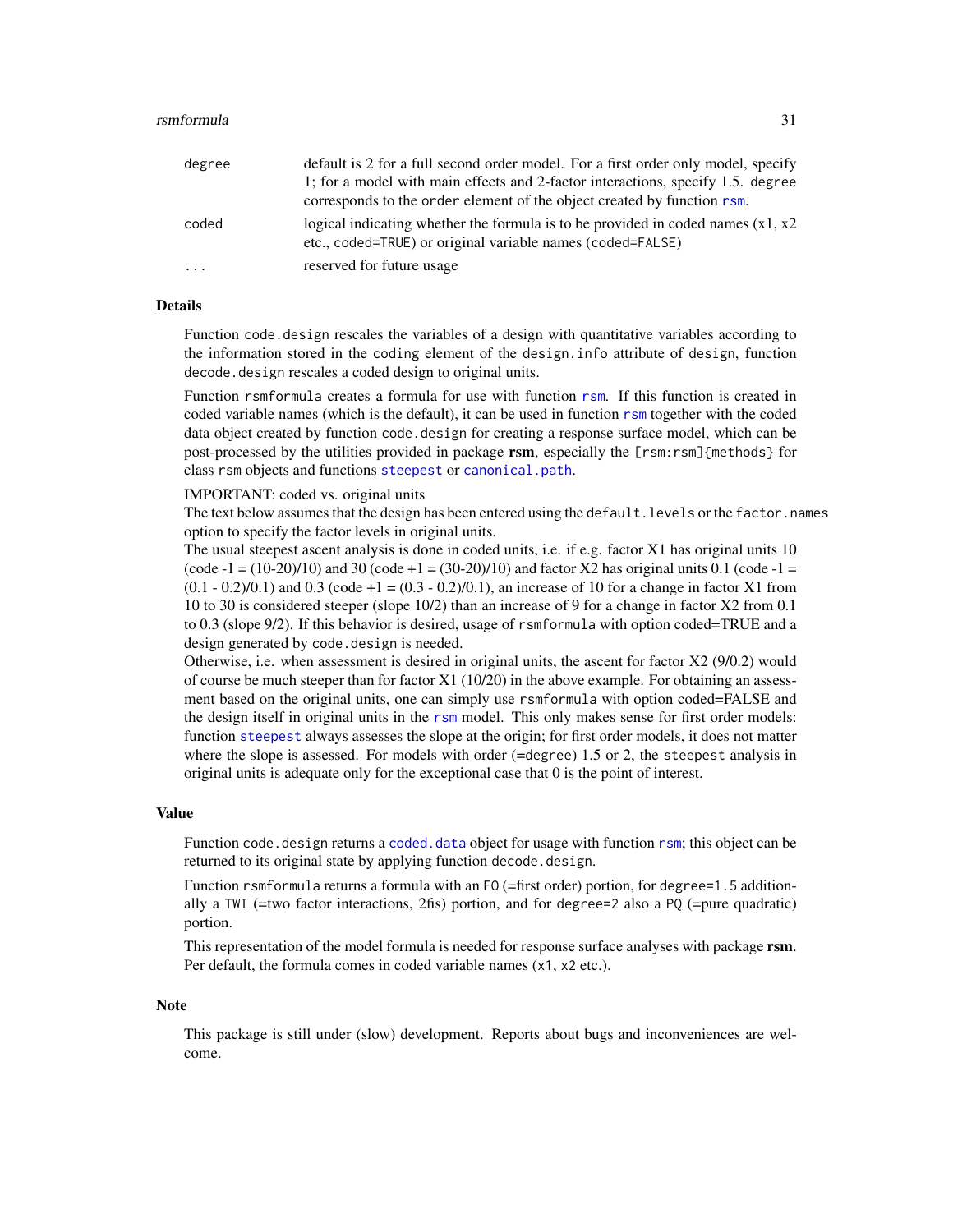#### <span id="page-30-0"></span>rsmformula 31

| degree  | default is 2 for a full second order model. For a first order only model, specify<br>1; for a model with main effects and 2-factor interactions, specify 1.5, degree<br>corresponds to the order element of the object created by function rsm. |
|---------|-------------------------------------------------------------------------------------------------------------------------------------------------------------------------------------------------------------------------------------------------|
| coded   | logical indicating whether the formula is to be provided in coded names $(x1, x2)$<br>etc., coded=TRUE) or original variable names (coded=FALSE)                                                                                                |
| $\cdot$ | reserved for future usage                                                                                                                                                                                                                       |

#### **Details**

Function code.design rescales the variables of a design with quantitative variables according to the information stored in the coding element of the design.info attribute of design, function decode. design rescales a coded design to original units.

Function rsmformula creates a formula for use with function [rsm](#page-0-0). If this function is created in coded variable names (which is the default), it can be used in function [rsm](#page-0-0) together with the coded data object created by function code.design for creating a response surface model, which can be post-processed by the utilities provided in package rsm, especially the [rsm:rsm]{methods} for class rsm objects and functions [steepest](#page-0-0) or [canonical.path](#page-0-0).

#### IMPORTANT: coded vs. original units

The text below assumes that the design has been entered using the default. levels or the factor.names option to specify the factor levels in original units.

The usual steepest ascent analysis is done in coded units, i.e. if e.g. factor X1 has original units 10 (code  $-1 = (10-20)/10$ ) and 30 (code  $+1 = (30-20)/10$ ) and factor X2 has original units 0.1 (code  $-1 =$  $(0.1 - 0.2)/0.1$ ) and  $0.3$  (code  $+1 = (0.3 - 0.2)/0.1$ ), an increase of 10 for a change in factor X1 from 10 to 30 is considered steeper (slope 10/2) than an increase of 9 for a change in factor X2 from 0.1 to 0.3 (slope 9/2). If this behavior is desired, usage of rsmformula with option coded=TRUE and a design generated by code. design is needed.

Otherwise, i.e. when assessment is desired in original units, the ascent for factor X2 (9/0.2) would of course be much steeper than for factor X1 (10/20) in the above example. For obtaining an assessment based on the original units, one can simply use rsmformula with option coded=FALSE and the design itself in original units in the [rsm](#page-0-0) model. This only makes sense for first order models: function [steepest](#page-0-0) always assesses the slope at the origin; for first order models, it does not matter where the slope is assessed. For models with order  $(=\deg$  ree) 1.5 or 2, the steepest analysis in original units is adequate only for the exceptional case that 0 is the point of interest.

#### Value

Function code. design returns a coded. data object for usage with function [rsm](#page-0-0); this object can be returned to its original state by applying function decode.design.

Function rsmformula returns a formula with an F0 (=first order) portion, for degree=1.5 additionally a TWI (=two factor interactions, 2fis) portion, and for degree=2 also a PQ (=pure quadratic) portion.

This representation of the model formula is needed for response surface analyses with package rsm. Per default, the formula comes in coded variable names (x1, x2 etc.).

#### Note

This package is still under (slow) development. Reports about bugs and inconveniences are welcome.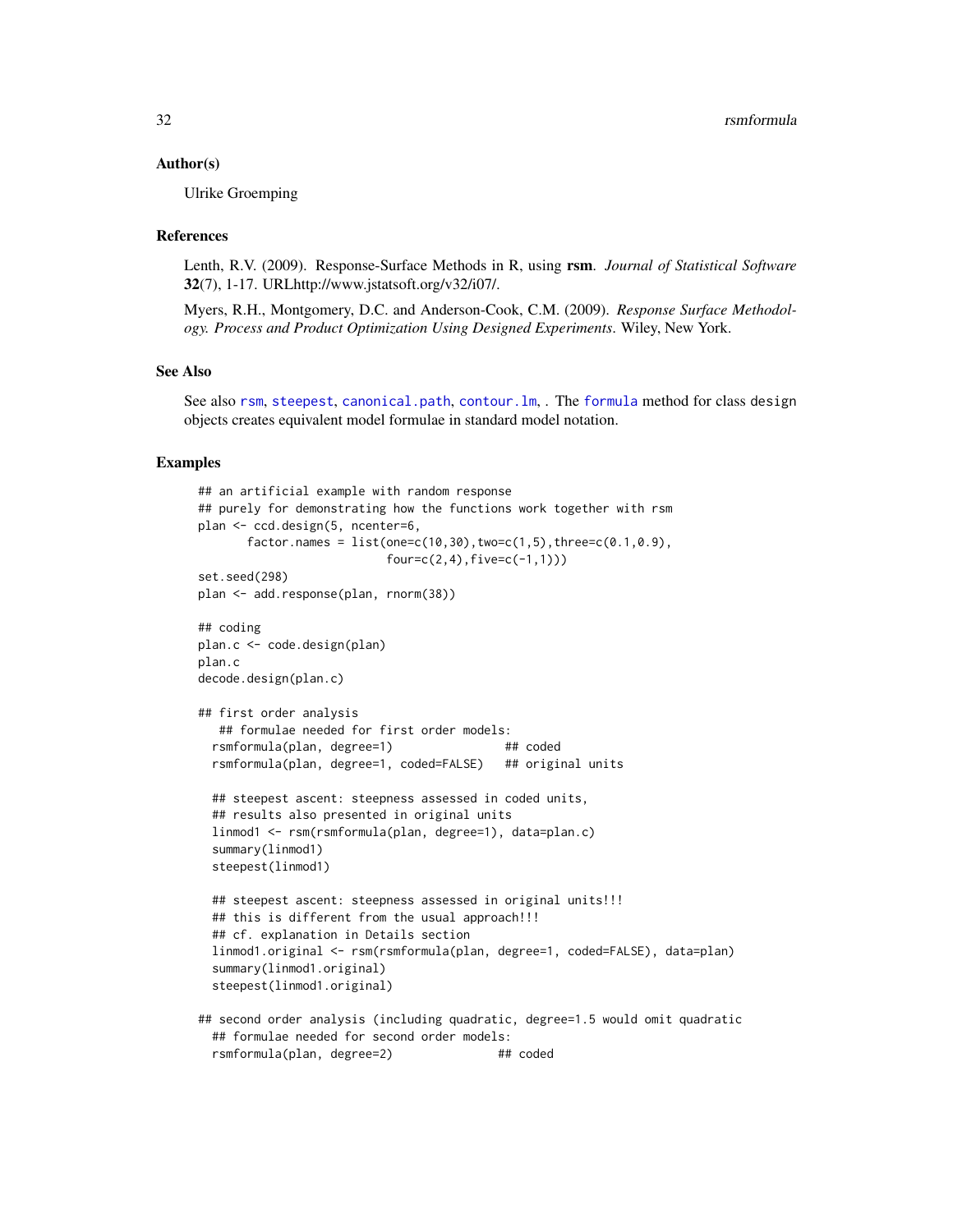#### <span id="page-31-0"></span>Author(s)

Ulrike Groemping

#### References

Lenth, R.V. (2009). Response-Surface Methods in R, using rsm. *Journal of Statistical Software* 32(7), 1-17. URLhttp://www.jstatsoft.org/v32/i07/.

Myers, R.H., Montgomery, D.C. and Anderson-Cook, C.M. (2009). *Response Surface Methodology. Process and Product Optimization Using Designed Experiments*. Wiley, New York.

# See Also

See also [rsm](#page-0-0), [steepest](#page-0-0), [canonical.path](#page-0-0), [contour.lm](#page-0-0), . The [formula](#page-0-0) method for class design objects creates equivalent model formulae in standard model notation.

#### Examples

```
## an artificial example with random response
## purely for demonstrating how the functions work together with rsm
plan <- ccd.design(5, ncenter=6,
      factor.name = list(one=c(10,30), two=c(1,5), three=c(0.1,0.9),four = c(2, 4), five = c(-1, 1))set.seed(298)
plan <- add.response(plan, rnorm(38))
## coding
plan.c <- code.design(plan)
plan.c
decode.design(plan.c)
## first order analysis
   ## formulae needed for first order models:
  rsmformula(plan, degree=1) ## coded
  rsmformula(plan, degree=1, coded=FALSE) ## original units
 ## steepest ascent: steepness assessed in coded units,
  ## results also presented in original units
 linmod1 <- rsm(rsmformula(plan, degree=1), data=plan.c)
  summary(linmod1)
  steepest(linmod1)
  ## steepest ascent: steepness assessed in original units!!!
  ## this is different from the usual approach!!!
  ## cf. explanation in Details section
  linmod1.original <- rsm(rsmformula(plan, degree=1, coded=FALSE), data=plan)
  summary(linmod1.original)
  steepest(linmod1.original)
## second order analysis (including quadratic, degree=1.5 would omit quadratic
  ## formulae needed for second order models:
  rsmformula(plan, degree=2) ## coded
```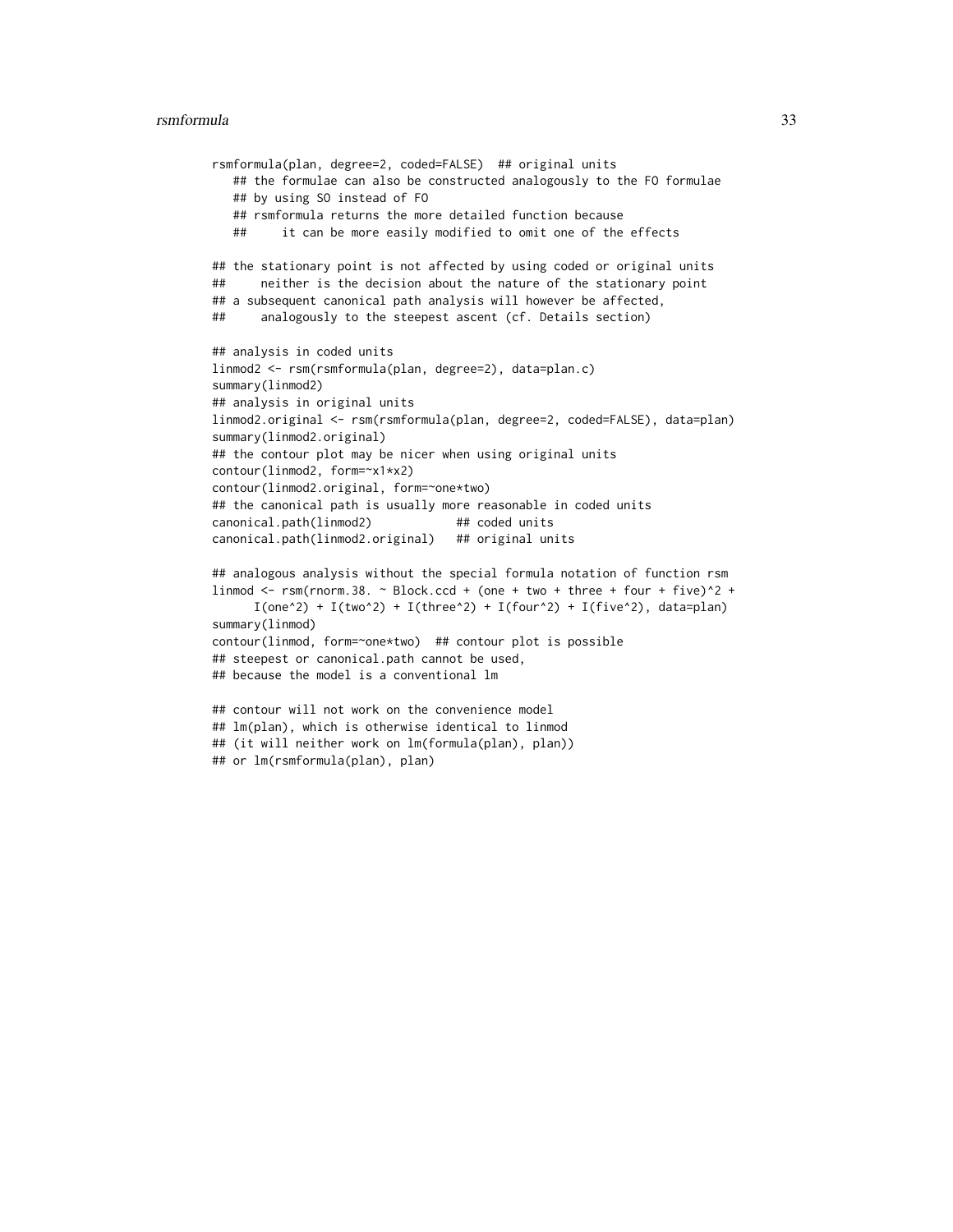#### rsmformula 33

```
rsmformula(plan, degree=2, coded=FALSE) ## original units
   ## the formulae can also be constructed analogously to the FO formulae
   ## by using SO instead of FO
   ## rsmformula returns the more detailed function because
   ## it can be more easily modified to omit one of the effects
## the stationary point is not affected by using coded or original units
## neither is the decision about the nature of the stationary point
## a subsequent canonical path analysis will however be affected,
## analogously to the steepest ascent (cf. Details section)
## analysis in coded units
linmod2 <- rsm(rsmformula(plan, degree=2), data=plan.c)
summary(linmod2)
## analysis in original units
linmod2.original <- rsm(rsmformula(plan, degree=2, coded=FALSE), data=plan)
summary(linmod2.original)
## the contour plot may be nicer when using original units
contour(linmod2, form=~x1*x2)
contour(linmod2.original, form=~one*two)
## the canonical path is usually more reasonable in coded units
canonical.path(linmod2) ## coded units
canonical.path(linmod2.original) ## original units
## analogous analysis without the special formula notation of function rsm
linmod \le rsm(rnorm.38. \sim Block.ccd + (one + two + three + four + five)\textdegree2 +
      I(one^2) + I(two^2) + I(three^2) + I(four^2) + I(five^2), data=plan)
summary(linmod)
contour(linmod, form=~one*two) ## contour plot is possible
## steepest or canonical.path cannot be used,
## because the model is a conventional lm
## contour will not work on the convenience model
## lm(plan), which is otherwise identical to linmod
## (it will neither work on lm(formula(plan), plan))
```

```
## or lm(rsmformula(plan), plan)
```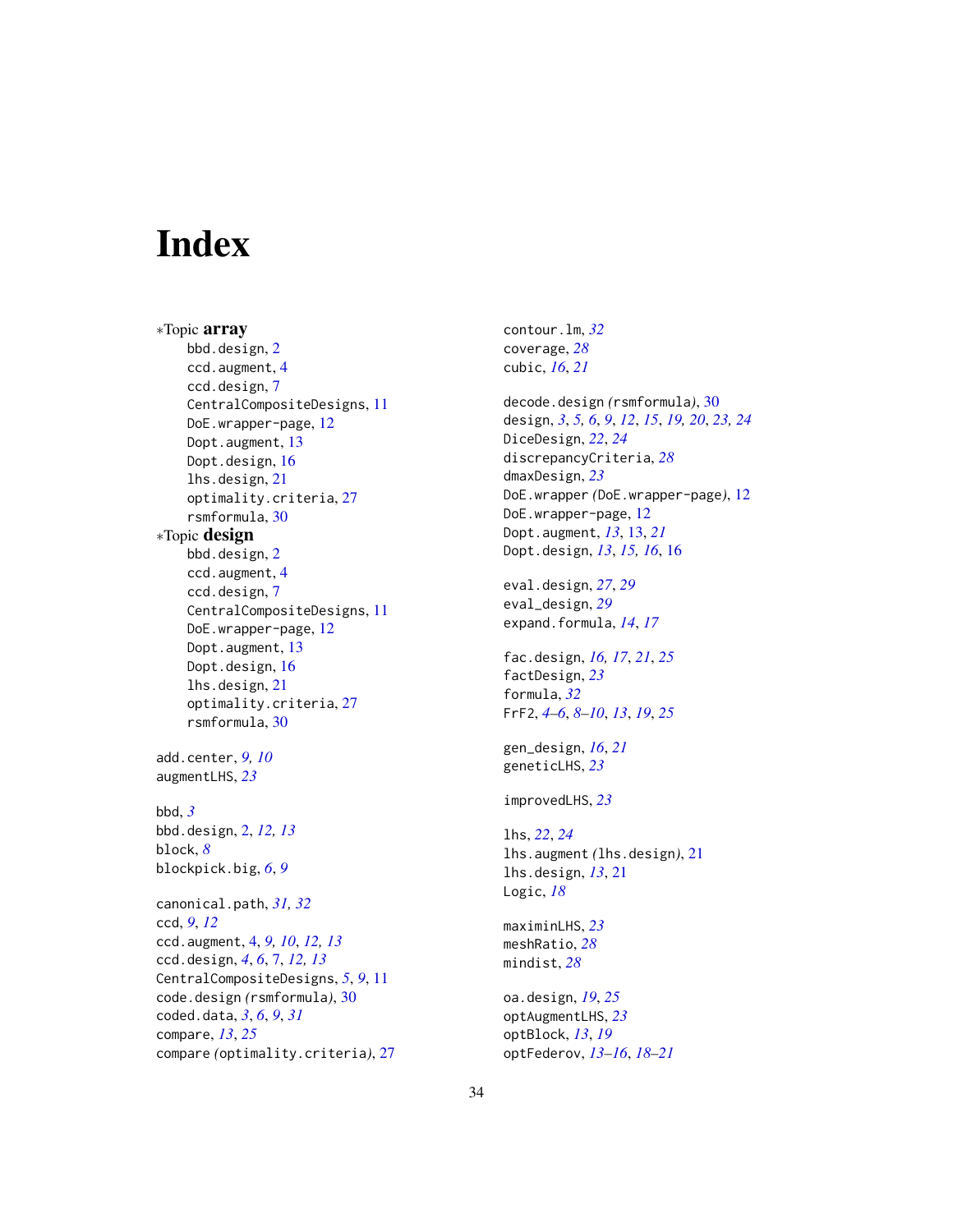# <span id="page-33-0"></span>**Index**

∗Topic array bbd.design, [2](#page-1-0) ccd.augment, [4](#page-3-0) ccd.design, [7](#page-6-0) CentralCompositeDesigns, [11](#page-10-0) DoE.wrapper-page, [12](#page-11-0) Dopt.augment, [13](#page-12-0) Dopt.design, [16](#page-15-0) lhs.design, [21](#page-20-0) optimality.criteria, [27](#page-26-0) rsmformula, [30](#page-29-0) ∗Topic design bbd.design, [2](#page-1-0) ccd.augment, [4](#page-3-0) ccd.design, [7](#page-6-0) CentralCompositeDesigns, [11](#page-10-0) DoE.wrapper-page, [12](#page-11-0) Dopt.augment, [13](#page-12-0) Dopt.design, [16](#page-15-0) lhs.design, [21](#page-20-0) optimality.criteria, [27](#page-26-0) rsmformula, [30](#page-29-0) add.center, *[9,](#page-8-0) [10](#page-9-0)* augmentLHS, *[23](#page-22-0)* bbd, *[3](#page-2-0)* bbd.design, [2,](#page-1-0) *[12,](#page-11-0) [13](#page-12-0)* block, *[8](#page-7-0)* blockpick.big, *[6](#page-5-0)*, *[9](#page-8-0)* canonical.path, *[31,](#page-30-0) [32](#page-31-0)* ccd, *[9](#page-8-0)*, *[12](#page-11-0)* ccd.augment, [4,](#page-3-0) *[9,](#page-8-0) [10](#page-9-0)*, *[12,](#page-11-0) [13](#page-12-0)* ccd.design, *[4](#page-3-0)*, *[6](#page-5-0)*, [7,](#page-6-0) *[12,](#page-11-0) [13](#page-12-0)* CentralCompositeDesigns, *[5](#page-4-0)*, *[9](#page-8-0)*, [11](#page-10-0) code.design *(*rsmformula*)*, [30](#page-29-0) coded.data, *[3](#page-2-0)*, *[6](#page-5-0)*, *[9](#page-8-0)*, *[31](#page-30-0)* compare, *[13](#page-12-0)*, *[25](#page-24-0)* compare *(*optimality.criteria*)*, [27](#page-26-0) contour.lm, *[32](#page-31-0)* coverage, *[28](#page-27-0)* cubic, *[16](#page-15-0)*, *[21](#page-20-0)* decode.design *(*rsmformula*)*, [30](#page-29-0) design, *[3](#page-2-0)*, *[5,](#page-4-0) [6](#page-5-0)*, *[9](#page-8-0)*, *[12](#page-11-0)*, *[15](#page-14-0)*, *[19,](#page-18-0) [20](#page-19-0)*, *[23,](#page-22-0) [24](#page-23-0)* DiceDesign, *[22](#page-21-0)*, *[24](#page-23-0)* discrepancyCriteria, *[28](#page-27-0)* dmaxDesign, *[23](#page-22-0)* DoE.wrapper *(*DoE.wrapper-page*)*, [12](#page-11-0) DoE.wrapper-page, [12](#page-11-0) Dopt.augment, *[13](#page-12-0)*, [13,](#page-12-0) *[21](#page-20-0)* Dopt.design, *[13](#page-12-0)*, *[15,](#page-14-0) [16](#page-15-0)*, [16](#page-15-0) eval.design, *[27](#page-26-0)*, *[29](#page-28-0)* eval\_design, *[29](#page-28-0)* expand.formula, *[14](#page-13-0)*, *[17](#page-16-0)* fac.design, *[16,](#page-15-0) [17](#page-16-0)*, *[21](#page-20-0)*, *[25](#page-24-0)* factDesign, *[23](#page-22-0)* formula, *[32](#page-31-0)* FrF2, *[4–](#page-3-0)[6](#page-5-0)*, *[8](#page-7-0)[–10](#page-9-0)*, *[13](#page-12-0)*, *[19](#page-18-0)*, *[25](#page-24-0)* gen\_design, *[16](#page-15-0)*, *[21](#page-20-0)* geneticLHS, *[23](#page-22-0)* improvedLHS, *[23](#page-22-0)* lhs, *[22](#page-21-0)*, *[24](#page-23-0)* lhs.augment *(*lhs.design*)*, [21](#page-20-0) lhs.design, *[13](#page-12-0)*, [21](#page-20-0) Logic, *[18](#page-17-0)* maximinLHS, *[23](#page-22-0)* meshRatio, *[28](#page-27-0)* mindist, *[28](#page-27-0)* oa.design, *[19](#page-18-0)*, *[25](#page-24-0)* optAugmentLHS, *[23](#page-22-0)* optBlock, *[13](#page-12-0)*, *[19](#page-18-0)* optFederov, *[13](#page-12-0)[–16](#page-15-0)*, *[18](#page-17-0)[–21](#page-20-0)*